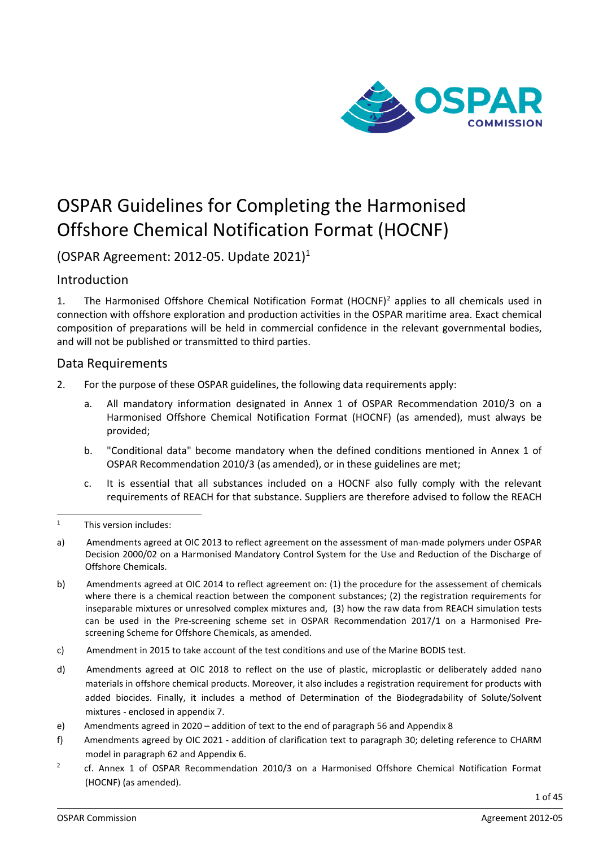

# OSPAR Guidelines for Completing the Harmonised Offshore Chemical Notification Format (HOCNF)

(OSPAR Agreement: 20[1](#page-0-0)2-05. Update  $2021$ )<sup>1</sup>

# Introduction

1. The Harmonised Offshore Chemical Notification Format (HOCNF)<sup>[2](#page-0-1)</sup> applies to all chemicals used in connection with offshore exploration and production activities in the OSPAR maritime area. Exact chemical composition of preparations will be held in commercial confidence in the relevant governmental bodies, and will not be published or transmitted to third parties.

### Data Requirements

- 2. For the purpose of these OSPAR guidelines, the following data requirements apply:
	- a. All mandatory information designated in Annex 1 of OSPAR Recommendation 2010/3 on a Harmonised Offshore Chemical Notification Format (HOCNF) (as amended), must always be provided;
	- b. "Conditional data" become mandatory when the defined conditions mentioned in Annex 1 of OSPAR Recommendation 2010/3 (as amended), or in these guidelines are met;
	- c. It is essential that all substances included on a HOCNF also fully comply with the relevant requirements of REACH for that substance. Suppliers are therefore advised to follow the REACH

- a) Amendments agreed at OIC 2013 to reflect agreement on the assessment of man-made polymers under OSPAR Decision 2000/02 on a Harmonised Mandatory Control System for the Use and Reduction of the Discharge of Offshore Chemicals.
- b) Amendments agreed at OIC 2014 to reflect agreement on: (1) the procedure for the assessement of chemicals where there is a chemical reaction between the component substances; (2) the registration requirements for inseparable mixtures or unresolved complex mixtures and, (3) how the raw data from REACH simulation tests can be used in the Pre-screening scheme set in OSPAR Recommendation 2017/1 on a Harmonised Prescreening Scheme for Offshore Chemicals, as amended.
- c) Amendment in 2015 to take account of the test conditions and use of the Marine BODIS test.
- d) Amendments agreed at OIC 2018 to reflect on the use of plastic, microplastic or deliberately added nano materials in offshore chemical products. Moreover, it also includes a registration requirement for products with added biocides. Finally, it includes a method of Determination of the Biodegradability of Solute/Solvent mixtures - enclosed in appendix 7.
- e) Amendments agreed in 2020 addition of text to the end of paragraph 56 and Appendix 8
- f) Amendments agreed by OIC 2021 addition of clarification text to paragraph 30; deleting reference to CHARM model in paragraph 62 and Appendix 6.
- <span id="page-0-1"></span><sup>2</sup> cf. Annex 1 of OSPAR Recommendation 2010/3 on a Harmonised Offshore Chemical Notification Format (HOCNF) (as amended).

<span id="page-0-0"></span><sup>1</sup> This version includes: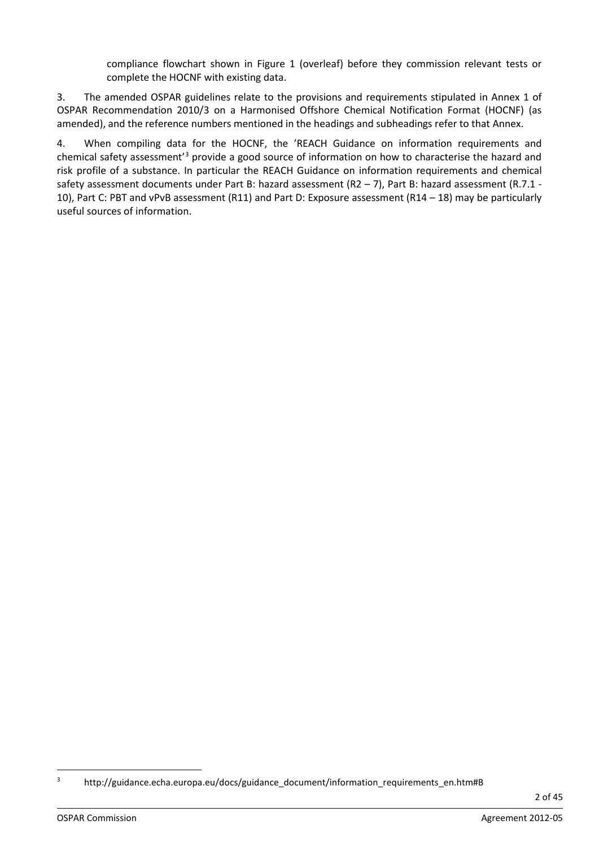compliance flowchart shown in Figure 1 (overleaf) before they commission relevant tests or complete the HOCNF with existing data.

3. The amended OSPAR guidelines relate to the provisions and requirements stipulated in Annex 1 of OSPAR Recommendation 2010/3 on a Harmonised Offshore Chemical Notification Format (HOCNF) (as amended), and the reference numbers mentioned in the headings and subheadings refer to that Annex.

4. When compiling data for the HOCNF, the 'REACH Guidance on information requirements and chemical safety assessment'[3](#page-1-0) provide a good source of information on how to characterise the hazard and risk profile of a substance. In particular the REACH Guidance on information requirements and chemical safety assessment documents under Part B: hazard assessment (R2 – 7), Part B: hazard assessment (R.7.1 -10), Part C: PBT and vPvB assessment (R11) and Part D: Exposure assessment (R14 – 18) may be particularly useful sources of information.

<span id="page-1-0"></span><sup>3</sup> http://guidance.echa.europa.eu/docs/guidance\_document/information\_requirements\_en.htm#B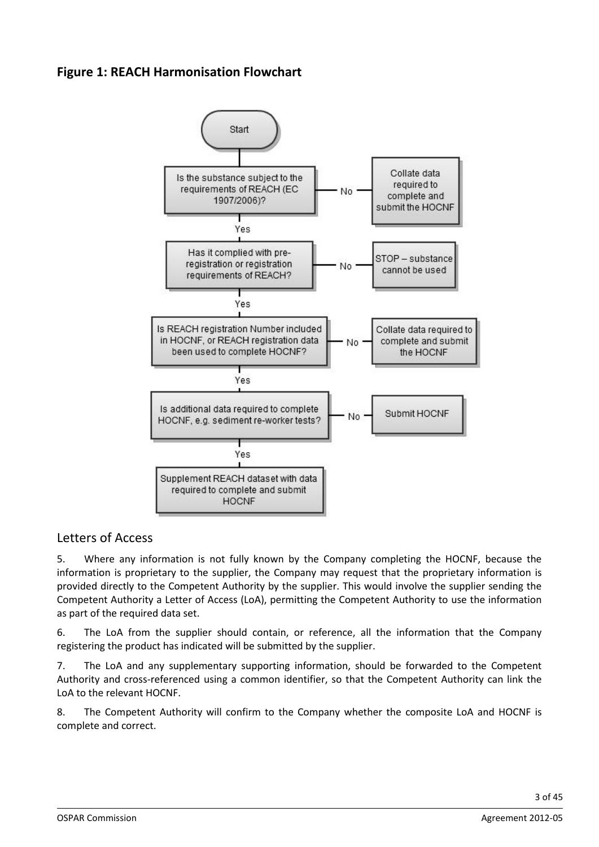# **Figure 1: REACH Harmonisation Flowchart**



# Letters of Access

5. Where any information is not fully known by the Company completing the HOCNF, because the information is proprietary to the supplier, the Company may request that the proprietary information is provided directly to the Competent Authority by the supplier. This would involve the supplier sending the Competent Authority a Letter of Access (LoA), permitting the Competent Authority to use the information as part of the required data set.

6. The LoA from the supplier should contain, or reference, all the information that the Company registering the product has indicated will be submitted by the supplier.

7. The LoA and any supplementary supporting information, should be forwarded to the Competent Authority and cross-referenced using a common identifier, so that the Competent Authority can link the LoA to the relevant HOCNF.

8. The Competent Authority will confirm to the Company whether the composite LoA and HOCNF is complete and correct.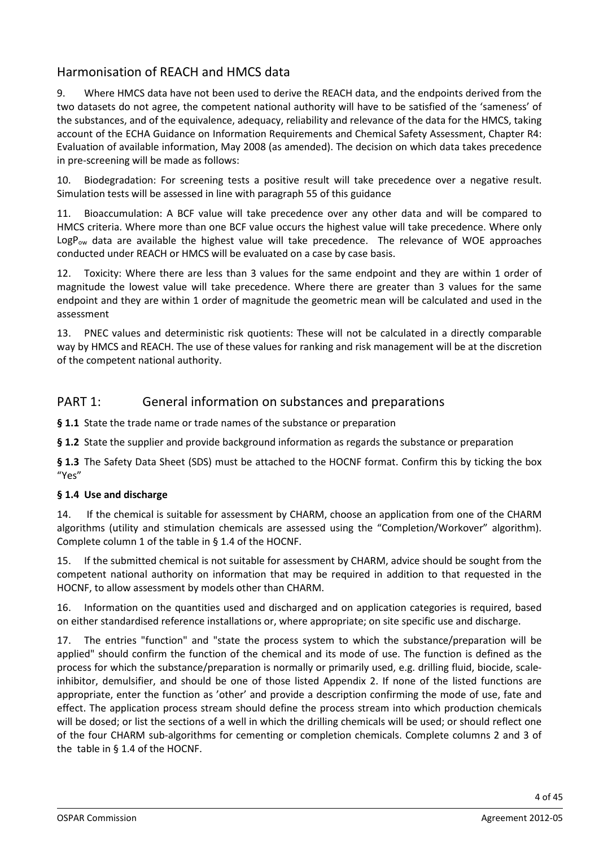# Harmonisation of REACH and HMCS data

9. Where HMCS data have not been used to derive the REACH data, and the endpoints derived from the two datasets do not agree, the competent national authority will have to be satisfied of the 'sameness' of the substances, and of the equivalence, adequacy, reliability and relevance of the data for the HMCS, taking account of the ECHA Guidance on Information Requirements and Chemical Safety Assessment, Chapter R4: Evaluation of available information, May 2008 (as amended). The decision on which data takes precedence in pre-screening will be made as follows:

10. Biodegradation: For screening tests a positive result will take precedence over a negative result. Simulation tests will be assessed in line with paragraph 55 of this guidance

11. Bioaccumulation: A BCF value will take precedence over any other data and will be compared to HMCS criteria. Where more than one BCF value occurs the highest value will take precedence. Where only  $LogP_{ow}$  data are available the highest value will take precedence. The relevance of WOE approaches conducted under REACH or HMCS will be evaluated on a case by case basis.

12. Toxicity: Where there are less than 3 values for the same endpoint and they are within 1 order of magnitude the lowest value will take precedence. Where there are greater than 3 values for the same endpoint and they are within 1 order of magnitude the geometric mean will be calculated and used in the assessment

13. PNEC values and deterministic risk quotients: These will not be calculated in a directly comparable way by HMCS and REACH. The use of these values for ranking and risk management will be at the discretion of the competent national authority.

# PART 1: General information on substances and preparations

**§ 1.1** State the trade name or trade names of the substance or preparation

**§ 1.2** State the supplier and provide background information as regards the substance or preparation

**§ 1.3** The Safety Data Sheet (SDS) must be attached to the HOCNF format. Confirm this by ticking the box "Yes"

#### **§ 1.4 Use and discharge**

14. If the chemical is suitable for assessment by CHARM, choose an application from one of the CHARM algorithms (utility and stimulation chemicals are assessed using the "Completion/Workover" algorithm). Complete column 1 of the table in § 1.4 of the HOCNF.

15. If the submitted chemical is not suitable for assessment by CHARM, advice should be sought from the competent national authority on information that may be required in addition to that requested in the HOCNF, to allow assessment by models other than CHARM.

16. Information on the quantities used and discharged and on application categories is required, based on either standardised reference installations or, where appropriate; on site specific use and discharge.

17. The entries "function" and "state the process system to which the substance/preparation will be applied" should confirm the function of the chemical and its mode of use. The function is defined as the process for which the substance/preparation is normally or primarily used, e.g. drilling fluid, biocide, scaleinhibitor, demulsifier, and should be one of those listed Appendix 2. If none of the listed functions are appropriate, enter the function as 'other' and provide a description confirming the mode of use, fate and effect. The application process stream should define the process stream into which production chemicals will be dosed; or list the sections of a well in which the drilling chemicals will be used; or should reflect one of the four CHARM sub-algorithms for cementing or completion chemicals. Complete columns 2 and 3 of the table in § 1.4 of the HOCNF.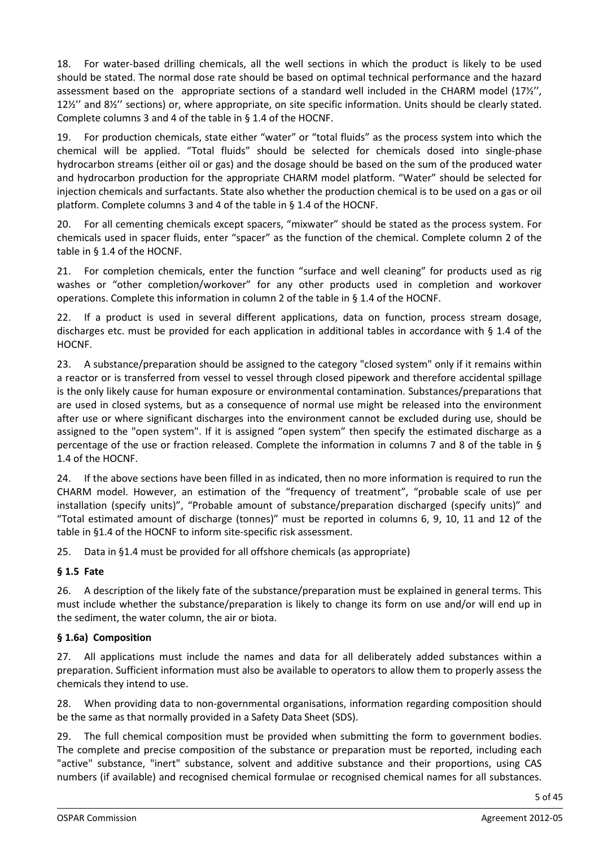18. For water-based drilling chemicals, all the well sections in which the product is likely to be used should be stated. The normal dose rate should be based on optimal technical performance and the hazard assessment based on the appropriate sections of a standard well included in the CHARM model (17½'', 12½'' and 8½'' sections) or, where appropriate, on site specific information. Units should be clearly stated. Complete columns 3 and 4 of the table in § 1.4 of the HOCNF.

19. For production chemicals, state either "water" or "total fluids" as the process system into which the chemical will be applied. "Total fluids" should be selected for chemicals dosed into single-phase hydrocarbon streams (either oil or gas) and the dosage should be based on the sum of the produced water and hydrocarbon production for the appropriate CHARM model platform. "Water" should be selected for injection chemicals and surfactants. State also whether the production chemical is to be used on a gas or oil platform. Complete columns 3 and 4 of the table in § 1.4 of the HOCNF.

20. For all cementing chemicals except spacers, "mixwater" should be stated as the process system. For chemicals used in spacer fluids, enter "spacer" as the function of the chemical. Complete column 2 of the table in § 1.4 of the HOCNF.

21. For completion chemicals, enter the function "surface and well cleaning" for products used as rig washes or "other completion/workover" for any other products used in completion and workover operations. Complete this information in column 2 of the table in § 1.4 of the HOCNF.

22. If a product is used in several different applications, data on function, process stream dosage, discharges etc. must be provided for each application in additional tables in accordance with § 1.4 of the HOCNF.

23. A substance/preparation should be assigned to the category "closed system" only if it remains within a reactor or is transferred from vessel to vessel through closed pipework and therefore accidental spillage is the only likely cause for human exposure or environmental contamination. Substances/preparations that are used in closed systems, but as a consequence of normal use might be released into the environment after use or where significant discharges into the environment cannot be excluded during use, should be assigned to the "open system". If it is assigned "open system" then specify the estimated discharge as a percentage of the use or fraction released. Complete the information in columns 7 and 8 of the table in § 1.4 of the HOCNF.

24. If the above sections have been filled in as indicated, then no more information is required to run the CHARM model. However, an estimation of the "frequency of treatment", "probable scale of use per installation (specify units)", "Probable amount of substance/preparation discharged (specify units)" and "Total estimated amount of discharge (tonnes)" must be reported in columns 6, 9, 10, 11 and 12 of the table in §1.4 of the HOCNF to inform site-specific risk assessment.

25. Data in §1.4 must be provided for all offshore chemicals (as appropriate)

### **§ 1.5 Fate**

26. A description of the likely fate of the substance/preparation must be explained in general terms. This must include whether the substance/preparation is likely to change its form on use and/or will end up in the sediment, the water column, the air or biota.

### **§ 1.6a) Composition**

27. All applications must include the names and data for all deliberately added substances within a preparation. Sufficient information must also be available to operators to allow them to properly assess the chemicals they intend to use.

28. When providing data to non-governmental organisations, information regarding composition should be the same as that normally provided in a Safety Data Sheet (SDS).

29. The full chemical composition must be provided when submitting the form to government bodies. The complete and precise composition of the substance or preparation must be reported, including each "active" substance, "inert" substance, solvent and additive substance and their proportions, using CAS numbers (if available) and recognised chemical formulae or recognised chemical names for all substances.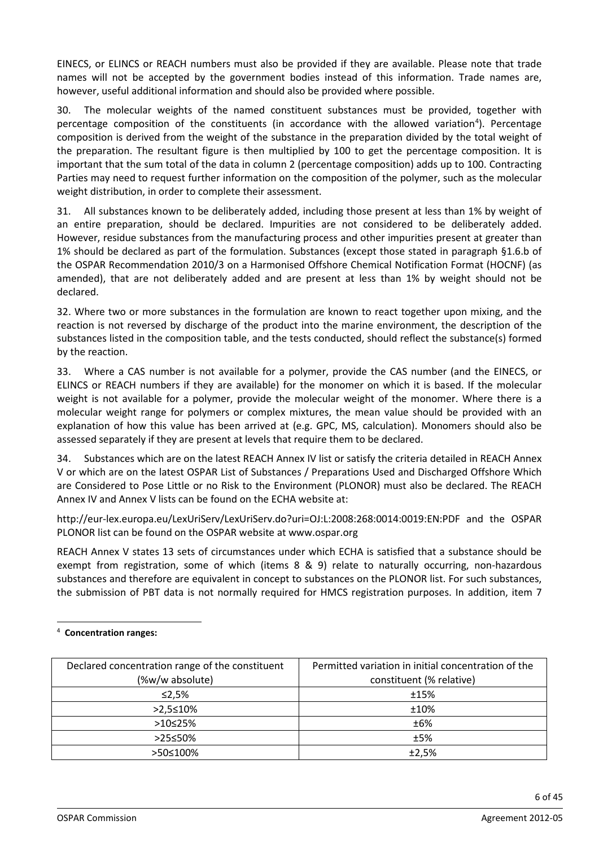EINECS, or ELINCS or REACH numbers must also be provided if they are available. Please note that trade names will not be accepted by the government bodies instead of this information. Trade names are, however, useful additional information and should also be provided where possible.

30. The molecular weights of the named constituent substances must be provided, together with percentage composition of the constituents (in accordance with the allowed variation<sup>[4](#page-5-0)</sup>). Percentage composition is derived from the weight of the substance in the preparation divided by the total weight of the preparation. The resultant figure is then multiplied by 100 to get the percentage composition. It is important that the sum total of the data in column 2 (percentage composition) adds up to 100. Contracting Parties may need to request further information on the composition of the polymer, such as the molecular weight distribution, in order to complete their assessment.

31. All substances known to be deliberately added, including those present at less than 1% by weight of an entire preparation, should be declared. Impurities are not considered to be deliberately added. However, residue substances from the manufacturing process and other impurities present at greater than 1% should be declared as part of the formulation. Substances (except those stated in paragraph §1.6.b of the OSPAR Recommendation 2010/3 on a Harmonised Offshore Chemical Notification Format (HOCNF) (as amended), that are not deliberately added and are present at less than 1% by weight should not be declared.

32. Where two or more substances in the formulation are known to react together upon mixing, and the reaction is not reversed by discharge of the product into the marine environment, the description of the substances listed in the composition table, and the tests conducted, should reflect the substance(s) formed by the reaction.

33. Where a CAS number is not available for a polymer, provide the CAS number (and the EINECS, or ELINCS or REACH numbers if they are available) for the monomer on which it is based. If the molecular weight is not available for a polymer, provide the molecular weight of the monomer. Where there is a molecular weight range for polymers or complex mixtures, the mean value should be provided with an explanation of how this value has been arrived at (e.g. GPC, MS, calculation). Monomers should also be assessed separately if they are present at levels that require them to be declared.

34. Substances which are on the latest REACH Annex IV list or satisfy the criteria detailed in REACH Annex V or which are on the latest OSPAR List of Substances / Preparations Used and Discharged Offshore Which are Considered to Pose Little or no Risk to the Environment (PLONOR) must also be declared. The REACH Annex IV and Annex V lists can be found on the ECHA website at:

<http://eur-lex.europa.eu/LexUriServ/LexUriServ.do?uri=OJ:L:2008:268:0014:0019:EN:PDF> and the OSPAR PLONOR list can be found on the OSPAR website at [www.ospar.org](http://www.ospar.org/)

REACH Annex V states 13 sets of circumstances under which ECHA is satisfied that a substance should be exempt from registration, some of which (items 8 & 9) relate to naturally occurring, non-hazardous substances and therefore are equivalent in concept to substances on the PLONOR list. For such substances, the submission of PBT data is not normally required for HMCS registration purposes. In addition, item 7

| Declared concentration range of the constituent | Permitted variation in initial concentration of the |
|-------------------------------------------------|-----------------------------------------------------|
| (%w/w absolute)                                 | constituent (% relative)                            |
| $\leq$ 2,5%                                     | ±15%                                                |
| $>2,5 \le 10\%$                                 | ±10%                                                |
| $>10 \le 25\%$                                  | ±6%                                                 |
| >25≤50%                                         | ±5%                                                 |
| >50≤100%                                        | ±2,5%                                               |

#### <span id="page-5-0"></span>4 **Concentration ranges:**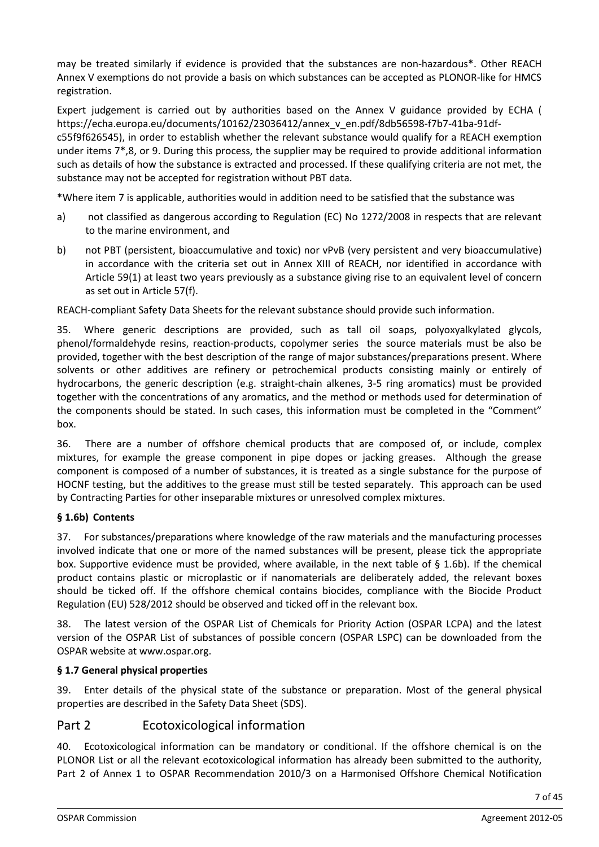may be treated similarly if evidence is provided that the substances are non-hazardous\*. Other REACH Annex V exemptions do not provide a basis on which substances can be accepted as PLONOR-like for HMCS registration.

Expert judgement is carried out by authorities based on the Annex V guidance provided by ECHA ( https://echa.europa.eu/documents/10162/23036412/annex\_v\_en.pdf/8db56598-f7b7-41ba-91dfc55f9f626545), in order to establish whether the relevant substance would qualify for a REACH exemption under items 7\*,8, or 9. During this process, the supplier may be required to provide additional information such as details of how the substance is extracted and processed. If these qualifying criteria are not met, the substance may not be accepted for registration without PBT data.

\*Where item 7 is applicable, authorities would in addition need to be satisfied that the substance was

- a) not classified as dangerous according to Regulation (EC) No 1272/2008 in respects that are relevant to the marine environment, and
- b) not PBT (persistent, bioaccumulative and toxic) nor vPvB (very persistent and very bioaccumulative) in accordance with the criteria set out in Annex XIII of REACH, nor identified in accordance with Article 59(1) at least two years previously as a substance giving rise to an equivalent level of concern as set out in Article 57(f).

REACH-compliant Safety Data Sheets for the relevant substance should provide such information.

Where generic descriptions are provided, such as tall oil soaps, polyoxyalkylated glycols, phenol/formaldehyde resins, reaction-products, copolymer series the source materials must be also be provided, together with the best description of the range of major substances/preparations present. Where solvents or other additives are refinery or petrochemical products consisting mainly or entirely of hydrocarbons, the generic description (e.g. straight-chain alkenes, 3-5 ring aromatics) must be provided together with the concentrations of any aromatics, and the method or methods used for determination of the components should be stated. In such cases, this information must be completed in the "Comment" box.

36. There are a number of offshore chemical products that are composed of, or include, complex mixtures, for example the grease component in pipe dopes or jacking greases. Although the grease component is composed of a number of substances, it is treated as a single substance for the purpose of HOCNF testing, but the additives to the grease must still be tested separately. This approach can be used by Contracting Parties for other inseparable mixtures or unresolved complex mixtures.

### **§ 1.6b) Contents**

37. For substances/preparations where knowledge of the raw materials and the manufacturing processes involved indicate that one or more of the named substances will be present, please tick the appropriate box. Supportive evidence must be provided, where available, in the next table of § 1.6b). If the chemical product contains plastic or microplastic or if nanomaterials are deliberately added, the relevant boxes should be ticked off. If the offshore chemical contains biocides, compliance with the Biocide Product Regulation (EU) 528/2012 should be observed and ticked off in the relevant box.

38. The latest version of the OSPAR List of Chemicals for Priority Action (OSPAR LCPA) and the latest version of the OSPAR List of substances of possible concern (OSPAR LSPC) can be downloaded from the OSPAR website at www.ospar.org.

#### **§ 1.7 General physical properties**

39. Enter details of the physical state of the substance or preparation. Most of the general physical properties are described in the Safety Data Sheet (SDS).

# Part 2 Ecotoxicological information

40. Ecotoxicological information can be mandatory or conditional. If the offshore chemical is on the PLONOR List or all the relevant ecotoxicological information has already been submitted to the authority, Part 2 of Annex 1 to OSPAR Recommendation 2010/3 on a Harmonised Offshore Chemical Notification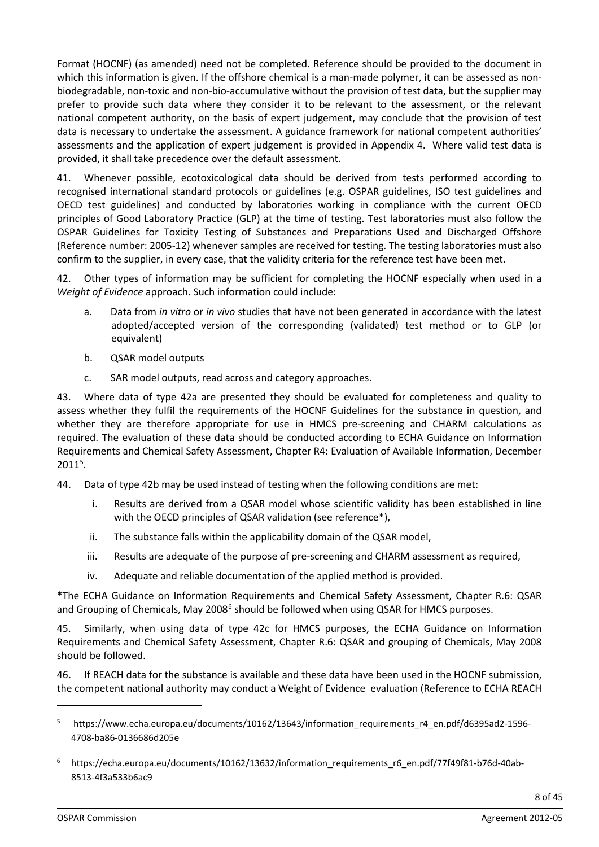Format (HOCNF) (as amended) need not be completed. Reference should be provided to the document in which this information is given. If the offshore chemical is a man-made polymer, it can be assessed as nonbiodegradable, non-toxic and non-bio-accumulative without the provision of test data, but the supplier may prefer to provide such data where they consider it to be relevant to the assessment, or the relevant national competent authority, on the basis of expert judgement, may conclude that the provision of test data is necessary to undertake the assessment. A guidance framework for national competent authorities' assessments and the application of expert judgement is provided in Appendix 4. Where valid test data is provided, it shall take precedence over the default assessment.

41. Whenever possible, ecotoxicological data should be derived from tests performed according to recognised international standard protocols or guidelines (e.g. OSPAR guidelines, ISO test guidelines and OECD test guidelines) and conducted by laboratories working in compliance with the current OECD principles of Good Laboratory Practice (GLP) at the time of testing. Test laboratories must also follow the OSPAR Guidelines for Toxicity Testing of Substances and Preparations Used and Discharged Offshore (Reference number: 2005-12) whenever samples are received for testing. The testing laboratories must also confirm to the supplier, in every case, that the validity criteria for the reference test have been met.

42. Other types of information may be sufficient for completing the HOCNF especially when used in a *Weight of Evidence* approach. Such information could include:

- a. Data from *in vitro* or *in vivo* studies that have not been generated in accordance with the latest adopted/accepted version of the corresponding (validated) test method or to GLP (or equivalent)
- b. QSAR model outputs
- c. SAR model outputs, read across and category approaches.

43. Where data of type 42a are presented they should be evaluated for completeness and quality to assess whether they fulfil the requirements of the HOCNF Guidelines for the substance in question, and whether they are therefore appropriate for use in HMCS pre-screening and CHARM calculations as required. The evaluation of these data should be conducted according to ECHA Guidance on Information Requirements and Chemical Safety Assessment, Chapter R4: Evaluation of Available Information, December  $2011<sup>5</sup>$  $2011<sup>5</sup>$  $2011<sup>5</sup>$ .

44. Data of type 42b may be used instead of testing when the following conditions are met:

- i. Results are derived from a QSAR model whose scientific validity has been established in line with the OECD principles of QSAR validation (see reference\*),
- ii. The substance falls within the applicability domain of the QSAR model,
- iii. Results are adequate of the purpose of pre-screening and CHARM assessment as required,
- iv. Adequate and reliable documentation of the applied method is provided.

\*The ECHA Guidance on Information Requirements and Chemical Safety Assessment, Chapter R.6: QSAR and Grouping of Chemicals, May 2008<sup>[6](#page-7-1)</sup> should be followed when using QSAR for HMCS purposes.

45. Similarly, when using data of type 42c for HMCS purposes, the ECHA Guidance on Information Requirements and Chemical Safety Assessment, Chapter R.6: QSAR and grouping of Chemicals, May 2008 should be followed.

46. If REACH data for the substance is available and these data have been used in the HOCNF submission, the competent national authority may conduct a Weight of Evidence evaluation (Reference to ECHA REACH

<span id="page-7-0"></span><sup>5</sup> https://www.echa.europa.eu/documents/10162/13643/information\_requirements\_r4\_en.pdf/d6395ad2-1596- 4708-ba86-0136686d205e

<span id="page-7-1"></span><sup>6</sup> https://echa.europa.eu/documents/10162/13632/information\_requirements\_r6\_en.pdf/77f49f81-b76d-40ab-8513-4f3a533b6ac9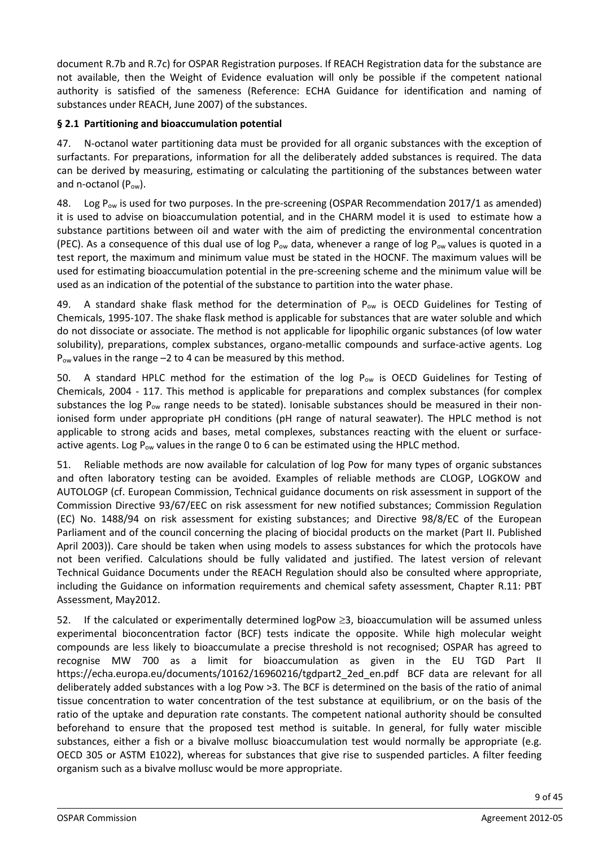document R.7b and R.7c) for OSPAR Registration purposes. If REACH Registration data for the substance are not available, then the Weight of Evidence evaluation will only be possible if the competent national authority is satisfied of the sameness (Reference: ECHA Guidance for identification and naming of substances under REACH, June 2007) of the substances.

#### **§ 2.1 Partitioning and bioaccumulation potential**

47. N-octanol water partitioning data must be provided for all organic substances with the exception of surfactants. For preparations, information for all the deliberately added substances is required. The data can be derived by measuring, estimating or calculating the partitioning of the substances between water and n-octanol (Pow).

48. Log P<sub>ow</sub> is used for two purposes. In the pre-screening (OSPAR Recommendation 2017/1 as amended) it is used to advise on bioaccumulation potential, and in the CHARM model it is used to estimate how a substance partitions between oil and water with the aim of predicting the environmental concentration (PEC). As a consequence of this dual use of log  $P_{ow}$  data, whenever a range of log  $P_{ow}$  values is quoted in a test report, the maximum and minimum value must be stated in the HOCNF. The maximum values will be used for estimating bioaccumulation potential in the pre-screening scheme and the minimum value will be used as an indication of the potential of the substance to partition into the water phase.

49. A standard shake flask method for the determination of  $P_{ow}$  is OECD Guidelines for Testing of Chemicals, 1995-107. The shake flask method is applicable for substances that are water soluble and which do not dissociate or associate. The method is not applicable for lipophilic organic substances (of low water solubility), preparations, complex substances, organo-metallic compounds and surface-active agents. Log  $P_{ow}$  values in the range  $-2$  to 4 can be measured by this method.

50. A standard HPLC method for the estimation of the log  $P_{ow}$  is OECD Guidelines for Testing of Chemicals, 2004 - 117. This method is applicable for preparations and complex substances (for complex substances the log  $P_{ow}$  range needs to be stated). Ionisable substances should be measured in their nonionised form under appropriate pH conditions (pH range of natural seawater). The HPLC method is not applicable to strong acids and bases, metal complexes, substances reacting with the eluent or surfaceactive agents. Log  $P_{ow}$  values in the range 0 to 6 can be estimated using the HPLC method.

51. Reliable methods are now available for calculation of log Pow for many types of organic substances and often laboratory testing can be avoided. Examples of reliable methods are CLOGP, LOGKOW and AUTOLOGP (cf. European Commission, Technical guidance documents on risk assessment in support of the Commission Directive 93/67/EEC on risk assessment for new notified substances; Commission Regulation (EC) No. 1488/94 on risk assessment for existing substances; and Directive 98/8/EC of the European Parliament and of the council concerning the placing of biocidal products on the market (Part II. Published April 2003)). Care should be taken when using models to assess substances for which the protocols have not been verified. Calculations should be fully validated and justified. The latest version of relevant Technical Guidance Documents under the REACH Regulation should also be consulted where appropriate, including the Guidance on information requirements and chemical safety assessment, Chapter R.11: PBT Assessment, May2012.

52. If the calculated or experimentally determined logPow ≥3, bioaccumulation will be assumed unless experimental bioconcentration factor (BCF) tests indicate the opposite. While high molecular weight compounds are less likely to bioaccumulate a precise threshold is not recognised; OSPAR has agreed to recognise MW 700 as a limit for bioaccumulation as given in the EU TGD Part II https://echa.europa.eu/documents/10162/16960216/tgdpart2\_2ed\_en.pdf BCF data are relevant for all deliberately added substances with a log Pow >3. The BCF is determined on the basis of the ratio of animal tissue concentration to water concentration of the test substance at equilibrium, or on the basis of the ratio of the uptake and depuration rate constants. The competent national authority should be consulted beforehand to ensure that the proposed test method is suitable. In general, for fully water miscible substances, either a fish or a bivalve mollusc bioaccumulation test would normally be appropriate (e.g. OECD 305 or ASTM E1022), whereas for substances that give rise to suspended particles. A filter feeding organism such as a bivalve mollusc would be more appropriate.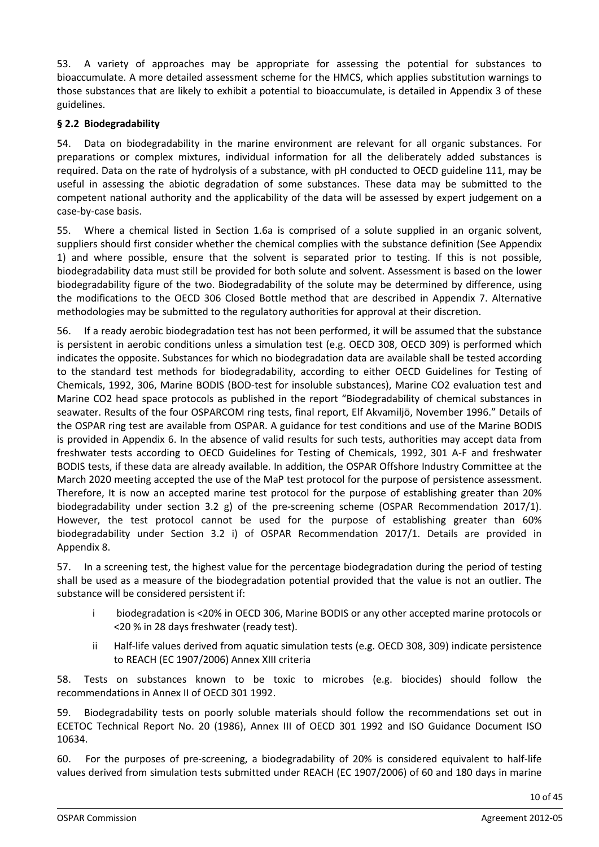53. A variety of approaches may be appropriate for assessing the potential for substances to bioaccumulate. A more detailed assessment scheme for the HMCS, which applies substitution warnings to those substances that are likely to exhibit a potential to bioaccumulate, is detailed in Appendix 3 of these guidelines.

#### **§ 2.2 Biodegradability**

54. Data on biodegradability in the marine environment are relevant for all organic substances. For preparations or complex mixtures, individual information for all the deliberately added substances is required. Data on the rate of hydrolysis of a substance, with pH conducted to OECD guideline 111, may be useful in assessing the abiotic degradation of some substances. These data may be submitted to the competent national authority and the applicability of the data will be assessed by expert judgement on a case-by-case basis.

55. Where a chemical listed in Section 1.6a is comprised of a solute supplied in an organic solvent, suppliers should first consider whether the chemical complies with the substance definition (See Appendix 1) and where possible, ensure that the solvent is separated prior to testing. If this is not possible, biodegradability data must still be provided for both solute and solvent. Assessment is based on the lower biodegradability figure of the two. Biodegradability of the solute may be determined by difference, using the modifications to the OECD 306 Closed Bottle method that are described in Appendix 7. Alternative methodologies may be submitted to the regulatory authorities for approval at their discretion.

56. If a ready aerobic biodegradation test has not been performed, it will be assumed that the substance is persistent in aerobic conditions unless a simulation test (e.g. OECD 308, OECD 309) is performed which indicates the opposite. Substances for which no biodegradation data are available shall be tested according to the standard test methods for biodegradability, according to either OECD Guidelines for Testing of Chemicals, 1992, 306, Marine BODIS (BOD-test for insoluble substances), Marine CO2 evaluation test and Marine CO2 head space protocols as published in the report "Biodegradability of chemical substances in seawater. Results of the four OSPARCOM ring tests, final report, Elf Akvamiljö, November 1996." Details of the OSPAR ring test are available from OSPAR. A guidance for test conditions and use of the Marine BODIS is provided in Appendix 6. In the absence of valid results for such tests, authorities may accept data from freshwater tests according to OECD Guidelines for Testing of Chemicals, 1992, 301 A-F and freshwater BODIS tests, if these data are already available. In addition, the OSPAR Offshore Industry Committee at the March 2020 meeting accepted the use of the MaP test protocol for the purpose of persistence assessment. Therefore, It is now an accepted marine test protocol for the purpose of establishing greater than 20% biodegradability under section 3.2 g) of the pre-screening scheme (OSPAR Recommendation 2017/1). However, the test protocol cannot be used for the purpose of establishing greater than 60% biodegradability under Section 3.2 i) of OSPAR Recommendation 2017/1. Details are provided in Appendix 8.

57. In a screening test, the highest value for the percentage biodegradation during the period of testing shall be used as a measure of the biodegradation potential provided that the value is not an outlier. The substance will be considered persistent if:

- i biodegradation is <20% in OECD 306, Marine BODIS or any other accepted marine protocols or <20 % in 28 days freshwater (ready test).
- ii Half-life values derived from aquatic simulation tests (e.g. OECD 308, 309) indicate persistence to REACH (EC 1907/2006) Annex XIII criteria

58. Tests on substances known to be toxic to microbes (e.g. biocides) should follow the recommendations in Annex II of OECD 301 1992.

59. Biodegradability tests on poorly soluble materials should follow the recommendations set out in ECETOC Technical Report No. 20 (1986), Annex III of OECD 301 1992 and ISO Guidance Document ISO 10634.

60. For the purposes of pre-screening, a biodegradability of 20% is considered equivalent to half-life values derived from simulation tests submitted under REACH (EC 1907/2006) of 60 and 180 days in marine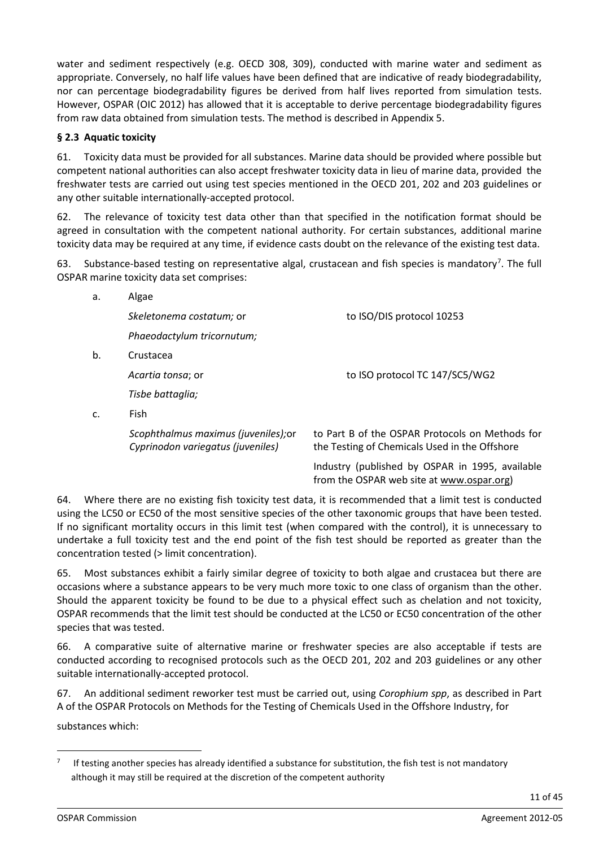water and sediment respectively (e.g. OECD 308, 309), conducted with marine water and sediment as appropriate. Conversely, no half life values have been defined that are indicative of ready biodegradability, nor can percentage biodegradability figures be derived from half lives reported from simulation tests. However, OSPAR (OIC 2012) has allowed that it is acceptable to derive percentage biodegradability figures from raw data obtained from simulation tests. The method is described in Appendix 5.

#### **§ 2.3 Aquatic toxicity**

61. Toxicity data must be provided for all substances. Marine data should be provided where possible but competent national authorities can also accept freshwater toxicity data in lieu of marine data, provided the freshwater tests are carried out using test species mentioned in the OECD 201, 202 and 203 guidelines or any other suitable internationally-accepted protocol.

The relevance of toxicity test data other than that specified in the notification format should be agreed in consultation with the competent national authority. For certain substances, additional marine toxicity data may be required at any time, if evidence casts doubt on the relevance of the existing test data.

63. Substance-based testing on representative algal, crustacean and fish species is mandatory<sup>[7](#page-10-0)</sup>. The full OSPAR marine toxicity data set comprises:

| a. | Algae                                                                     |                                                                                                  |
|----|---------------------------------------------------------------------------|--------------------------------------------------------------------------------------------------|
|    | Skeletonema costatum; or                                                  | to ISO/DIS protocol 10253                                                                        |
|    | Phaeodactylum tricornutum;                                                |                                                                                                  |
| b. | Crustacea                                                                 |                                                                                                  |
|    | Acartia tonsa; or                                                         | to ISO protocol TC 147/SC5/WG2                                                                   |
|    | Tisbe battaglia;                                                          |                                                                                                  |
| C. | Fish                                                                      |                                                                                                  |
|    | Scophthalmus maximus (juveniles); or<br>Cyprinodon variegatus (juveniles) | to Part B of the OSPAR Protocols on Methods for<br>the Testing of Chemicals Used in the Offshore |
|    |                                                                           | Laduata (aubichad bu OCDAD in 1005, ausiable                                                     |

Industry (published by OSPAR in 1995, available from the OSPAR web site at [www.ospar.org\)](http://www.ospar.org/)

64. Where there are no existing fish toxicity test data, it is recommended that a limit test is conducted using the LC50 or EC50 of the most sensitive species of the other taxonomic groups that have been tested. If no significant mortality occurs in this limit test (when compared with the control), it is unnecessary to undertake a full toxicity test and the end point of the fish test should be reported as greater than the concentration tested (> limit concentration).

65. Most substances exhibit a fairly similar degree of toxicity to both algae and crustacea but there are occasions where a substance appears to be very much more toxic to one class of organism than the other. Should the apparent toxicity be found to be due to a physical effect such as chelation and not toxicity, OSPAR recommends that the limit test should be conducted at the LC50 or EC50 concentration of the other species that was tested.

66. A comparative suite of alternative marine or freshwater species are also acceptable if tests are conducted according to recognised protocols such as the OECD 201, 202 and 203 guidelines or any other suitable internationally-accepted protocol.

67. An additional sediment reworker test must be carried out, using *Corophium spp*, as described in Part A of the OSPAR Protocols on Methods for the Testing of Chemicals Used in the Offshore Industry, for

substances which:

<span id="page-10-0"></span>If testing another species has already identified a substance for substitution, the fish test is not mandatory although it may still be required at the discretion of the competent authority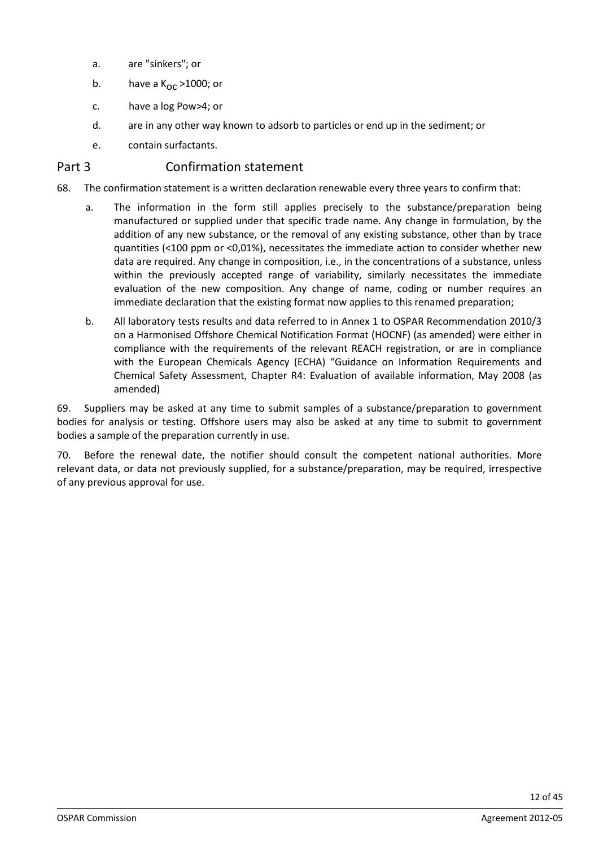- a. are "sinkers"; or
- b. have a  $K_{\text{OC}} > 1000$ ; or
- c. have a log Pow>4; or
- d. are in any other way known to adsorb to particles or end up in the sediment; or
- e. contain surfactants.

### Part 3 Confirmation statement

- 68. The confirmation statement is a written declaration renewable every three years to confirm that:
	- a. The information in the form still applies precisely to the substance/preparation being manufactured or supplied under that specific trade name. Any change in formulation, by the addition of any new substance, or the removal of any existing substance, other than by trace quantities (<100 ppm or <0,01%), necessitates the immediate action to consider whether new data are required. Any change in composition, i.e., in the concentrations of a substance, unless within the previously accepted range of variability, similarly necessitates the immediate evaluation of the new composition. Any change of name, coding or number requires an immediate declaration that the existing format now applies to this renamed preparation;
	- b. All laboratory tests results and data referred to in Annex 1 to OSPAR Recommendation 2010/3 on a Harmonised Offshore Chemical Notification Format (HOCNF) (as amended) were either in compliance with the requirements of the relevant REACH registration, or are in compliance with the European Chemicals Agency (ECHA) "Guidance on Information Requirements and Chemical Safety Assessment, Chapter R4: Evaluation of available information, May 2008 (as amended)

69. Suppliers may be asked at any time to submit samples of a substance/preparation to government bodies for analysis or testing. Offshore users may also be asked at any time to submit to government bodies a sample of the preparation currently in use.

70. Before the renewal date, the notifier should consult the competent national authorities. More relevant data, or data not previously supplied, for a substance/preparation, may be required, irrespective of any previous approval for use.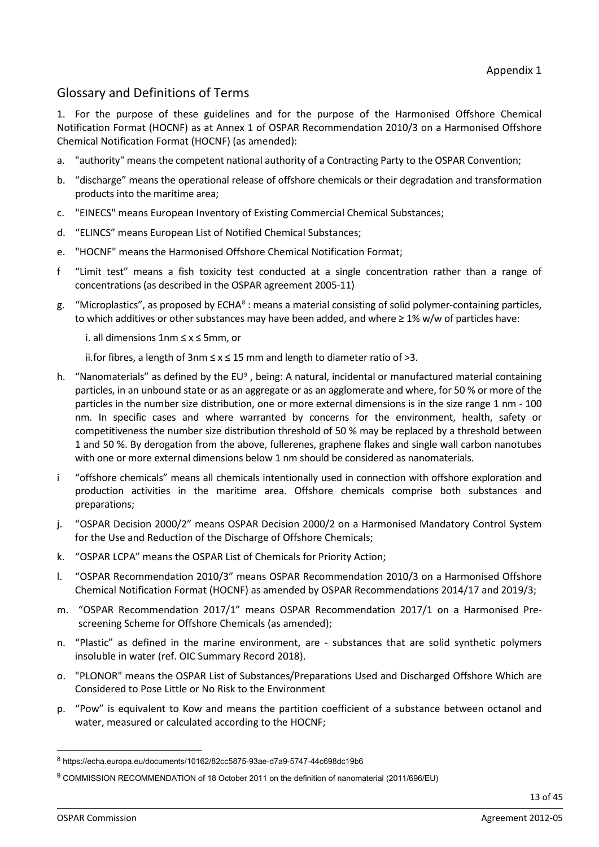# Glossary and Definitions of Terms

1. For the purpose of these guidelines and for the purpose of the Harmonised Offshore Chemical Notification Format (HOCNF) as at Annex 1 of OSPAR Recommendation 2010/3 on a Harmonised Offshore Chemical Notification Format (HOCNF) (as amended):

- a. "authority" means the competent national authority of a Contracting Party to the OSPAR Convention;
- b. "discharge" means the operational release of offshore chemicals or their degradation and transformation products into the maritime area;
- c. "EINECS" means European Inventory of Existing Commercial Chemical Substances;
- d. "ELINCS" means European List of Notified Chemical Substances;
- e. "HOCNF" means the Harmonised Offshore Chemical Notification Format;
- f "Limit test" means a fish toxicity test conducted at a single concentration rather than a range of concentrations (as described in the OSPAR agreement 2005-11)
- g. "Microplastics", as proposed by ECHA[8](#page-12-0) : means a material consisting of solid polymer-containing particles, to which additives or other substances may have been added, and where ≥ 1% w/w of particles have:
	- i. all dimensions 1nm ≤ x ≤ 5mm, or

ii.for fibres, a length of 3nm ≤ x ≤ 15 mm and length to diameter ratio of >3.

- h. "Nanomaterials" as defined by the EU<sup>[9](#page-12-1)</sup>, being: A natural, incidental or manufactured material containing particles, in an unbound state or as an aggregate or as an agglomerate and where, for 50 % or more of the particles in the number size distribution, one or more external dimensions is in the size range 1 nm - 100 nm. In specific cases and where warranted by concerns for the environment, health, safety or competitiveness the number size distribution threshold of 50 % may be replaced by a threshold between 1 and 50 %. By derogation from the above, fullerenes, graphene flakes and single wall carbon nanotubes with one or more external dimensions below 1 nm should be considered as nanomaterials.
- i "offshore chemicals" means all chemicals intentionally used in connection with offshore exploration and production activities in the maritime area. Offshore chemicals comprise both substances and preparations;
- j. "OSPAR Decision 2000/2" means OSPAR Decision 2000/2 on a Harmonised Mandatory Control System for the Use and Reduction of the Discharge of Offshore Chemicals;
- k. "OSPAR LCPA" means the OSPAR List of Chemicals for Priority Action;
- l. "OSPAR Recommendation 2010/3" means OSPAR Recommendation 2010/3 on a Harmonised Offshore Chemical Notification Format (HOCNF) as amended by OSPAR Recommendations 2014/17 and 2019/3;
- m. "OSPAR Recommendation 2017/1" means OSPAR Recommendation 2017/1 on a Harmonised Prescreening Scheme for Offshore Chemicals (as amended);
- n. "Plastic" as defined in the marine environment, are substances that are solid synthetic polymers insoluble in water (ref. OIC Summary Record 2018).
- o. "PLONOR" means the OSPAR List of Substances/Preparations Used and Discharged Offshore Which are Considered to Pose Little or No Risk to the Environment
- p. "Pow" is equivalent to Kow and means the partition coefficient of a substance between octanol and water, measured or calculated according to the HOCNF;

<span id="page-12-0"></span><sup>8</sup> https://echa.europa.eu/documents/10162/82cc5875-93ae-d7a9-5747-44c698dc19b6

<span id="page-12-1"></span><sup>9</sup> COMMISSION RECOMMENDATION of 18 October 2011 on the definition of nanomaterial (2011/696/EU)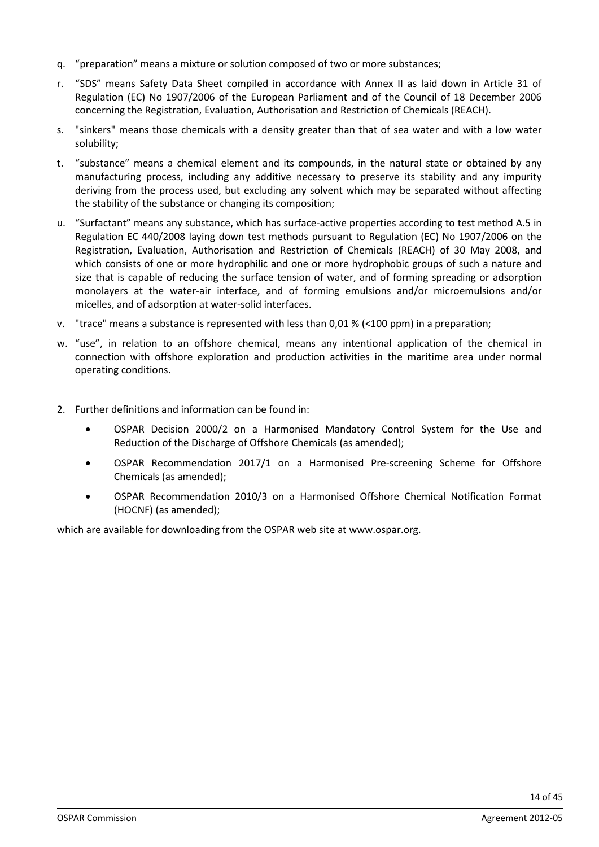- q. "preparation" means a mixture or solution composed of two or more substances;
- r. "SDS" means Safety Data Sheet compiled in accordance with Annex II as laid down in Article 31 of Regulation (EC) No 1907/2006 of the European Parliament and of the Council of 18 December 2006 concerning the Registration, Evaluation, Authorisation and Restriction of Chemicals (REACH).
- s. "sinkers" means those chemicals with a density greater than that of sea water and with a low water solubility;
- t. "substance" means a chemical element and its compounds, in the natural state or obtained by any manufacturing process, including any additive necessary to preserve its stability and any impurity deriving from the process used, but excluding any solvent which may be separated without affecting the stability of the substance or changing its composition;
- u. "Surfactant" means any substance, which has surface-active properties according to test method A.5 in Regulation EC 440/2008 laying down test methods pursuant to Regulation (EC) No 1907/2006 on the Registration, Evaluation, Authorisation and Restriction of Chemicals (REACH) of 30 May 2008, and which consists of one or more hydrophilic and one or more hydrophobic groups of such a nature and size that is capable of reducing the surface tension of water, and of forming spreading or adsorption monolayers at the water-air interface, and of forming emulsions and/or microemulsions and/or micelles, and of adsorption at water-solid interfaces.
- v. "trace" means a substance is represented with less than 0,01 % (<100 ppm) in a preparation;
- w. "use", in relation to an offshore chemical, means any intentional application of the chemical in connection with offshore exploration and production activities in the maritime area under normal operating conditions.
- 2. Further definitions and information can be found in:
	- OSPAR Decision 2000/2 on a Harmonised Mandatory Control System for the Use and Reduction of the Discharge of Offshore Chemicals (as amended);
	- OSPAR Recommendation 2017/1 on a Harmonised Pre-screening Scheme for Offshore Chemicals (as amended);
	- OSPAR Recommendation 2010/3 on a Harmonised Offshore Chemical Notification Format (HOCNF) (as amended);

which are available for downloading from the OSPAR web site at www.ospar.org.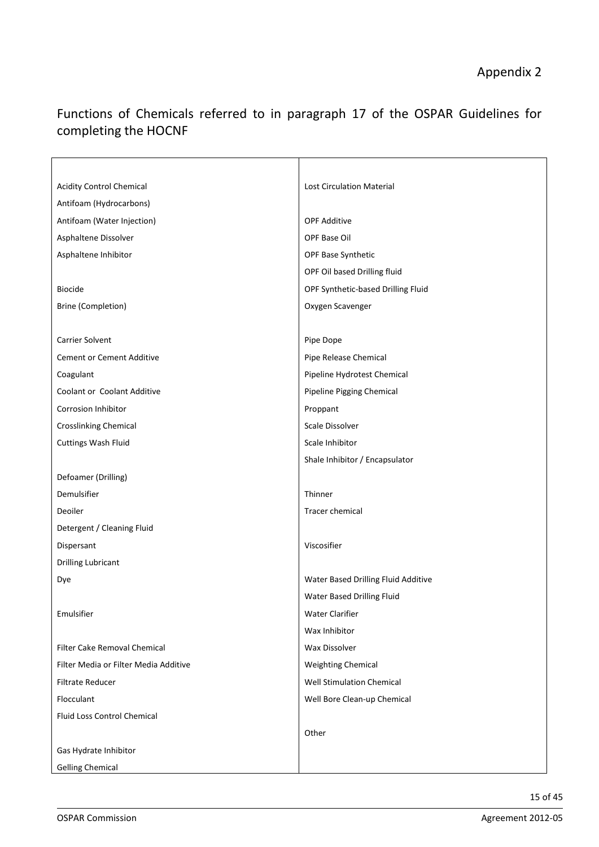# Functions of Chemicals referred to in paragraph 17 of the OSPAR Guidelines for completing the HOCNF

| <b>Acidity Control Chemical</b>       | <b>Lost Circulation Material</b>    |
|---------------------------------------|-------------------------------------|
| Antifoam (Hydrocarbons)               |                                     |
| Antifoam (Water Injection)            | <b>OPF Additive</b>                 |
| Asphaltene Dissolver                  | OPF Base Oil                        |
| Asphaltene Inhibitor                  | OPF Base Synthetic                  |
|                                       | OPF Oil based Drilling fluid        |
| <b>Biocide</b>                        | OPF Synthetic-based Drilling Fluid  |
| <b>Brine (Completion)</b>             | Oxygen Scavenger                    |
|                                       |                                     |
| <b>Carrier Solvent</b>                | Pipe Dope                           |
| <b>Cement or Cement Additive</b>      | Pipe Release Chemical               |
| Coagulant                             | Pipeline Hydrotest Chemical         |
| Coolant or Coolant Additive           | Pipeline Pigging Chemical           |
| <b>Corrosion Inhibitor</b>            | Proppant                            |
| <b>Crosslinking Chemical</b>          | Scale Dissolver                     |
| <b>Cuttings Wash Fluid</b>            | Scale Inhibitor                     |
|                                       | Shale Inhibitor / Encapsulator      |
| Defoamer (Drilling)                   |                                     |
| Demulsifier                           | Thinner                             |
| Deoiler                               | Tracer chemical                     |
| Detergent / Cleaning Fluid            |                                     |
| Dispersant                            | Viscosifier                         |
| <b>Drilling Lubricant</b>             |                                     |
| Dye                                   | Water Based Drilling Fluid Additive |
|                                       | Water Based Drilling Fluid          |
| Emulsifier                            | <b>Water Clarifier</b>              |
|                                       | Wax Inhibitor                       |
| <b>Filter Cake Removal Chemical</b>   | <b>Wax Dissolver</b>                |
| Filter Media or Filter Media Additive | <b>Weighting Chemical</b>           |
| <b>Filtrate Reducer</b>               | <b>Well Stimulation Chemical</b>    |
| Flocculant                            | Well Bore Clean-up Chemical         |
| <b>Fluid Loss Control Chemical</b>    |                                     |
|                                       | Other                               |
| Gas Hydrate Inhibitor                 |                                     |
| <b>Gelling Chemical</b>               |                                     |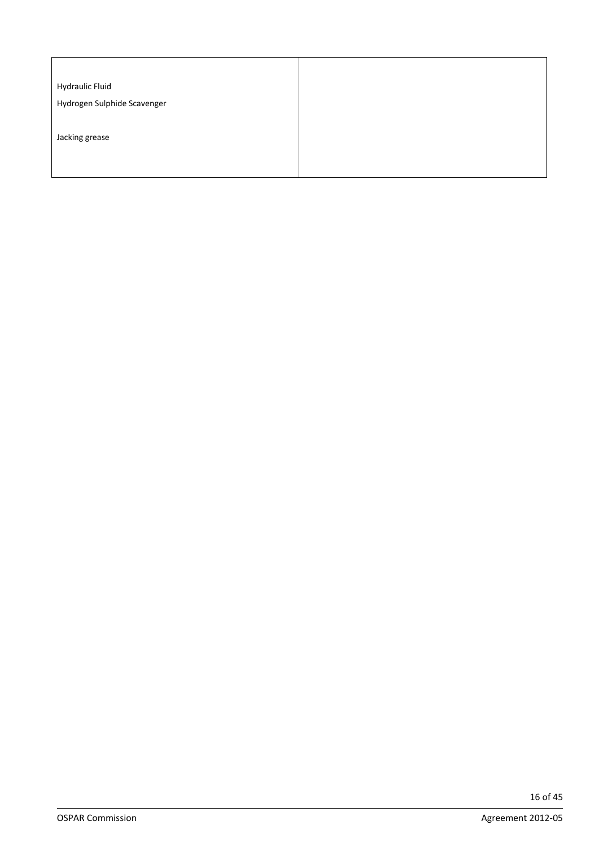| <b>Hydraulic Fluid</b>      |  |  |
|-----------------------------|--|--|
| Hydrogen Sulphide Scavenger |  |  |
|                             |  |  |
| Jacking grease              |  |  |
|                             |  |  |
|                             |  |  |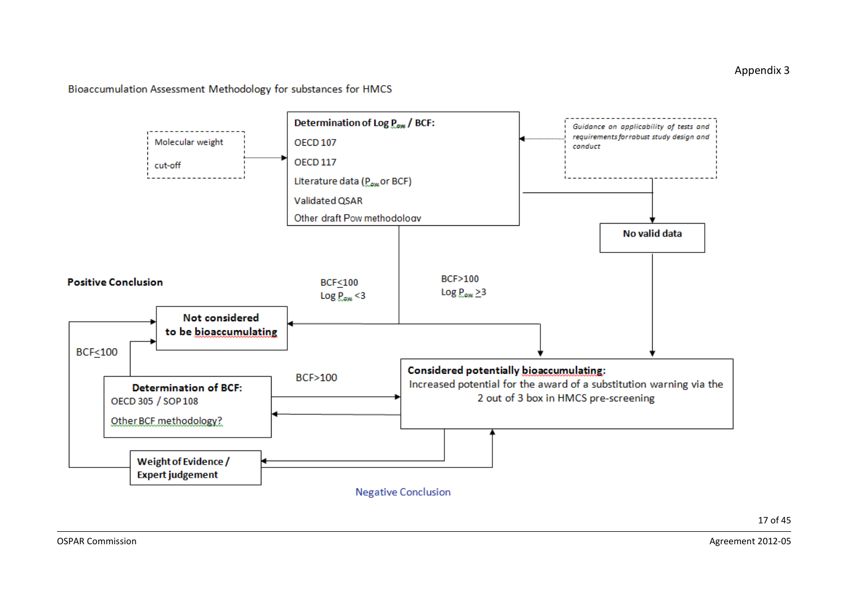Bioaccumulation Assessment Methodology for substances for HMCS

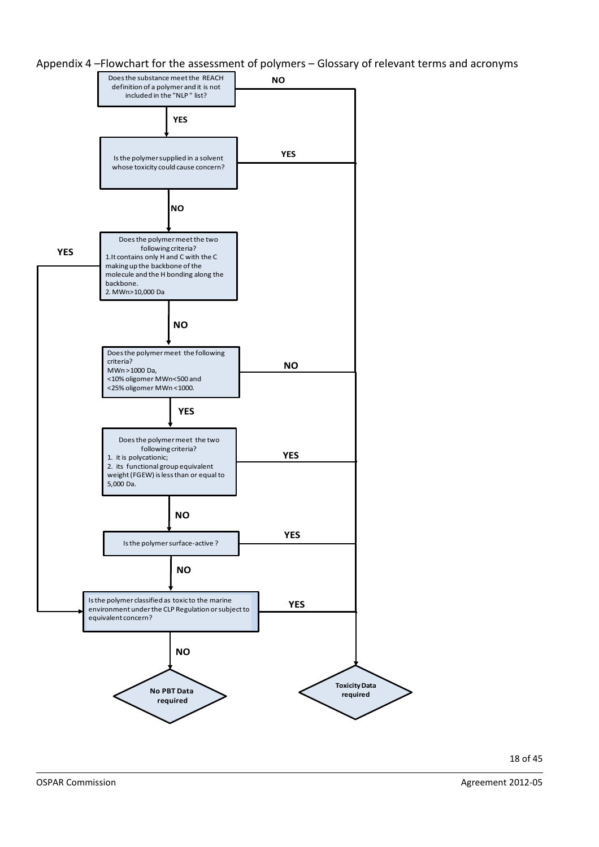Appendix 4 –Flowchart for the assessment of polymers – Glossary of relevant terms and acronyms

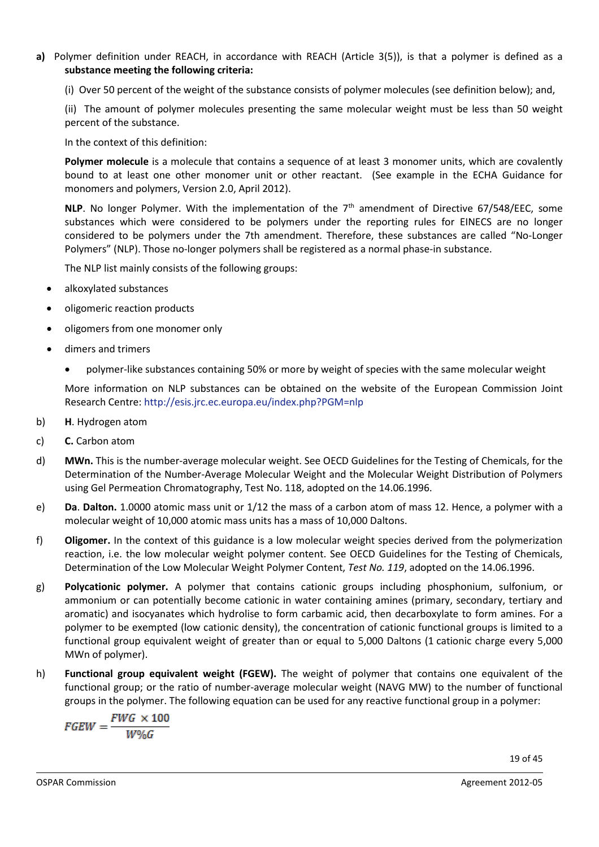**a)** Polymer definition under REACH, in accordance with REACH (Article 3(5)), is that a polymer is defined as a **substance meeting the following criteria:** 

(i) Over 50 percent of the weight of the substance consists of polymer molecules (see definition below); and,

(ii) The amount of polymer molecules presenting the same molecular weight must be less than 50 weight percent of the substance.

In the context of this definition:

**Polymer molecule** is a molecule that contains a sequence of at least 3 monomer units, which are covalently bound to at least one other monomer unit or other reactant. (See example in the ECHA Guidance for monomers and polymers, Version 2.0, April 2012).

**NLP**. No longer Polymer. With the implementation of the 7<sup>th</sup> amendment of Directive 67/548/EEC, some substances which were considered to be polymers under the reporting rules for EINECS are no longer considered to be polymers under the 7th amendment. Therefore, these substances are called "No-Longer Polymers" (NLP). Those no-longer polymers shall be registered as a normal phase-in substance.

The NLP list mainly consists of the following groups:

- alkoxylated substances
- oligomeric reaction products
- oligomers from one monomer only
- dimers and trimers
	- polymer-like substances containing 50% or more by weight of species with the same molecular weight

More information on NLP substances can be obtained on the website of the European Commission Joint Research Centre:<http://esis.jrc.ec.europa.eu/index.php?PGM=nlp>

- b) **H**. Hydrogen atom
- c) **C.** Carbon atom
- d) **MWn.** This is the number-average molecular weight. See OECD Guidelines for the Testing of Chemicals, for the Determination of the Number-Average Molecular Weight and the Molecular Weight Distribution of Polymers using Gel Permeation Chromatography, Test No. 118, adopted on the 14.06.1996.
- e) **Da**. **Dalton.** 1.0000 atomic mass unit or 1/12 the mass of a carbon atom of mass 12. Hence, a polymer with a molecular weight of 10,000 atomic mass units has a mass of 10,000 Daltons.
- f) **Oligomer.** In the context of this guidance is a low molecular weight species derived from the polymerization reaction, i.e. the low molecular weight polymer content. See OECD Guidelines for the Testing of Chemicals, Determination of the Low Molecular Weight Polymer Content, *Test No. 119*, adopted on the 14.06.1996.
- g) **Polycationic polymer.** A polymer that contains cationic groups including phosphonium, sulfonium, or ammonium or can potentially become cationic in water containing amines (primary, secondary, tertiary and aromatic) and isocyanates which hydrolise to form carbamic acid, then decarboxylate to form amines. For a polymer to be exempted (low cationic density), the concentration of cationic functional groups is limited to a functional group equivalent weight of greater than or equal to 5,000 Daltons (1 cationic charge every 5,000 MWn of polymer).
- h) **Functional group equivalent weight (FGEW).** The weight of polymer that contains one equivalent of the functional group; or the ratio of number-average molecular weight (NAVG MW) to the number of functional groups in the polymer. The following equation can be used for any reactive functional group in a polymer:

$$
FGEW = \frac{FWG \times 100}{W\%G}
$$

19 of 45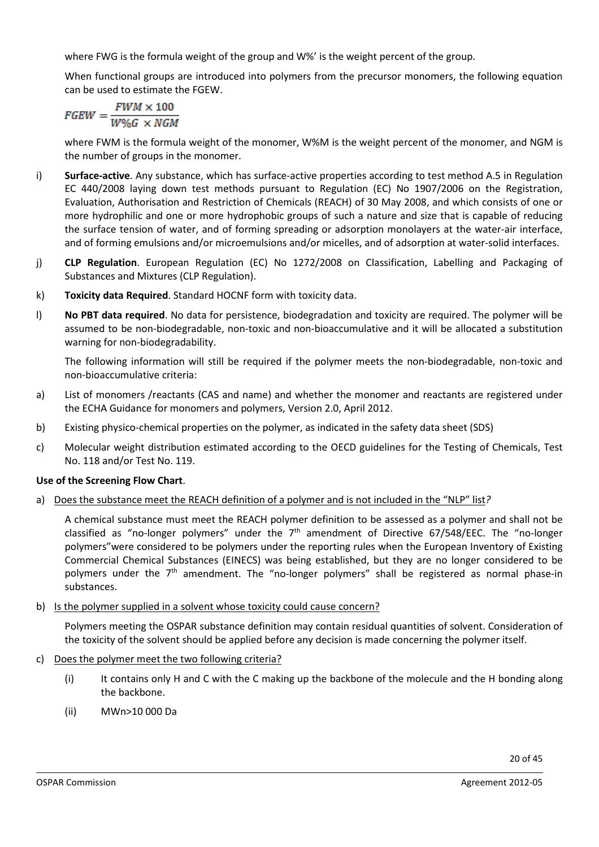where FWG is the formula weight of the group and W%' is the weight percent of the group.

When functional groups are introduced into polymers from the precursor monomers, the following equation can be used to estimate the FGEW.

$$
FGEW = \frac{FWM \times 100}{W \% G \times NGM}
$$

where FWM is the formula weight of the monomer, W%M is the weight percent of the monomer, and NGM is the number of groups in the monomer.

- i) **Surface-active**. Any substance, which has surface-active properties according to test method A.5 in Regulation EC 440/2008 laying down test methods pursuant to Regulation (EC) No 1907/2006 on the Registration, Evaluation, Authorisation and Restriction of Chemicals (REACH) of 30 May 2008, and which consists of one or more hydrophilic and one or more hydrophobic groups of such a nature and size that is capable of reducing the surface tension of water, and of forming spreading or adsorption monolayers at the water-air interface, and of forming emulsions and/or microemulsions and/or micelles, and of adsorption at water-solid interfaces.
- j) **CLP Regulation**. European Regulation (EC) No 1272/2008 on Classification, Labelling and Packaging of Substances and Mixtures (CLP Regulation).
- k) **Toxicity data Required**. Standard HOCNF form with toxicity data.
- l) **No PBT data required**. No data for persistence, biodegradation and toxicity are required. The polymer will be assumed to be non-biodegradable, non-toxic and non-bioaccumulative and it will be allocated a substitution warning for non-biodegradability.

The following information will still be required if the polymer meets the non-biodegradable, non-toxic and non-bioaccumulative criteria:

- a) List of monomers /reactants (CAS and name) and whether the monomer and reactants are registered under the ECHA Guidance for monomers and polymers, Version 2.0, April 2012.
- b) Existing physico-chemical properties on the polymer, as indicated in the safety data sheet (SDS)
- c) Molecular weight distribution estimated according to the OECD guidelines for the Testing of Chemicals, Test No. 118 and/or Test No. 119.

#### **Use of the Screening Flow Chart**.

a) Does the substance meet the REACH definition of a polymer and is not included in the "NLP" list*?* 

A chemical substance must meet the REACH polymer definition to be assessed as a polymer and shall not be classified as "no-longer polymers" under the  $7<sup>th</sup>$  amendment of Directive 67/548/EEC. The "no-longer polymers"were considered to be polymers under the reporting rules when the European Inventory of Existing Commercial Chemical Substances (EINECS) was being established, but they are no longer considered to be polymers under the  $7<sup>th</sup>$  amendment. The "no-longer polymers" shall be registered as normal phase-in substances.

b) Is the polymer supplied in a solvent whose toxicity could cause concern?

Polymers meeting the OSPAR substance definition may contain residual quantities of solvent. Consideration of the toxicity of the solvent should be applied before any decision is made concerning the polymer itself.

- c) Does the polymer meet the two following criteria?
	- (i) It contains only H and C with the C making up the backbone of the molecule and the H bonding along the backbone.
	- (ii) MWn>10 000 Da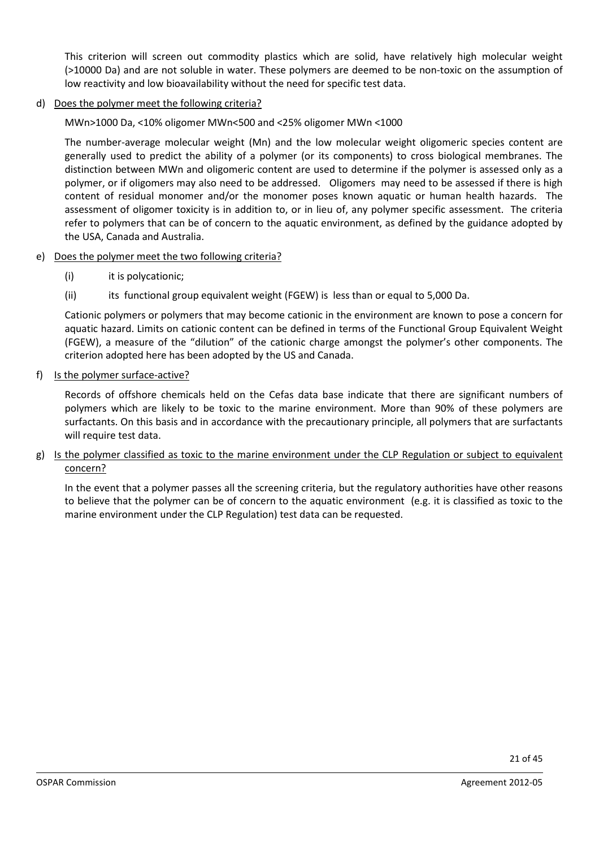This criterion will screen out commodity plastics which are solid, have relatively high molecular weight (>10000 Da) and are not soluble in water. These polymers are deemed to be non-toxic on the assumption of low reactivity and low bioavailability without the need for specific test data.

d) Does the polymer meet the following criteria?

MWn>1000 Da, <10% oligomer MWn<500 and <25% oligomer MWn <1000

The number-average molecular weight (Mn) and the low molecular weight oligomeric species content are generally used to predict the ability of a polymer (or its components) to cross biological membranes. The distinction between MWn and oligomeric content are used to determine if the polymer is assessed only as a polymer, or if oligomers may also need to be addressed. Oligomers may need to be assessed if there is high content of residual monomer and/or the monomer poses known aquatic or human health hazards. The assessment of oligomer toxicity is in addition to, or in lieu of, any polymer specific assessment. The criteria refer to polymers that can be of concern to the aquatic environment, as defined by the guidance adopted by the USA, Canada and Australia.

#### e) Does the polymer meet the two following criteria?

- (i) it is polycationic;
- (ii) its functional group equivalent weight (FGEW) is less than or equal to 5,000 Da.

Cationic polymers or polymers that may become cationic in the environment are known to pose a concern for aquatic hazard. Limits on cationic content can be defined in terms of the Functional Group Equivalent Weight (FGEW), a measure of the "dilution" of the cationic charge amongst the polymer's other components. The criterion adopted here has been adopted by the US and Canada.

#### f) Is the polymer surface-active?

Records of offshore chemicals held on the Cefas data base indicate that there are significant numbers of polymers which are likely to be toxic to the marine environment. More than 90% of these polymers are surfactants. On this basis and in accordance with the precautionary principle, all polymers that are surfactants will require test data.

#### g) Is the polymer classified as toxic to the marine environment under the CLP Regulation or subject to equivalent concern?

In the event that a polymer passes all the screening criteria, but the regulatory authorities have other reasons to believe that the polymer can be of concern to the aquatic environment (e.g. it is classified as toxic to the marine environment under the CLP Regulation) test data can be requested.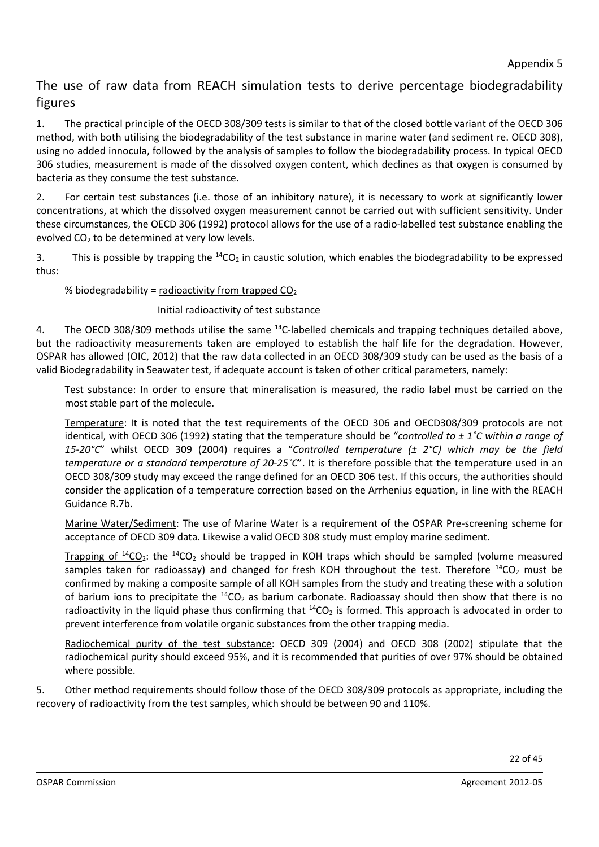# The use of raw data from REACH simulation tests to derive percentage biodegradability figures

1. The practical principle of the OECD 308/309 tests is similar to that of the closed bottle variant of the OECD 306 method, with both utilising the biodegradability of the test substance in marine water (and sediment re. OECD 308), using no added innocula, followed by the analysis of samples to follow the biodegradability process. In typical OECD 306 studies, measurement is made of the dissolved oxygen content, which declines as that oxygen is consumed by bacteria as they consume the test substance.

2. For certain test substances (i.e. those of an inhibitory nature), it is necessary to work at significantly lower concentrations, at which the dissolved oxygen measurement cannot be carried out with sufficient sensitivity. Under these circumstances, the OECD 306 (1992) protocol allows for the use of a radio-labelled test substance enabling the evolved  $CO<sub>2</sub>$  to be determined at very low levels.

3. This is possible by trapping the  $^{14}CO_2$  in caustic solution, which enables the biodegradability to be expressed thus:

### % biodegradability = radioactivity from trapped  $CO<sub>2</sub>$

### Initial radioactivity of test substance

4. The OECD 308/309 methods utilise the same  $^{14}$ C-labelled chemicals and trapping techniques detailed above, but the radioactivity measurements taken are employed to establish the half life for the degradation. However, OSPAR has allowed (OIC, 2012) that the raw data collected in an OECD 308/309 study can be used as the basis of a valid Biodegradability in Seawater test, if adequate account is taken of other critical parameters, namely:

Test substance: In order to ensure that mineralisation is measured, the radio label must be carried on the most stable part of the molecule.

Temperature: It is noted that the test requirements of the OECD 306 and OECD308/309 protocols are not identical, with OECD 306 (1992) stating that the temperature should be "*controlled to ± 1˚C within a range of 15-20°C*" whilst OECD 309 (2004) requires a "*Controlled temperature (± 2°C) which may be the field temperature or a standard temperature of 20-25˚C*". It is therefore possible that the temperature used in an OECD 308/309 study may exceed the range defined for an OECD 306 test. If this occurs, the authorities should consider the application of a temperature correction based on the Arrhenius equation, in line with the REACH Guidance R.7b.

Marine Water/Sediment: The use of Marine Water is a requirement of the OSPAR Pre-screening scheme for acceptance of OECD 309 data. Likewise a valid OECD 308 study must employ marine sediment.

Trapping of  $^{14}CO_2$ : the  $^{14}CO_2$  should be trapped in KOH traps which should be sampled (volume measured samples taken for radioassay) and changed for fresh KOH throughout the test. Therefore  $^{14}CO<sub>2</sub>$  must be confirmed by making a composite sample of all KOH samples from the study and treating these with a solution of barium ions to precipitate the  ${}^{14}CO_2$  as barium carbonate. Radioassay should then show that there is no radioactivity in the liquid phase thus confirming that  $^{14}CO<sub>2</sub>$  is formed. This approach is advocated in order to prevent interference from volatile organic substances from the other trapping media.

Radiochemical purity of the test substance: OECD 309 (2004) and OECD 308 (2002) stipulate that the radiochemical purity should exceed 95%, and it is recommended that purities of over 97% should be obtained where possible.

5. Other method requirements should follow those of the OECD 308/309 protocols as appropriate, including the recovery of radioactivity from the test samples, which should be between 90 and 110%.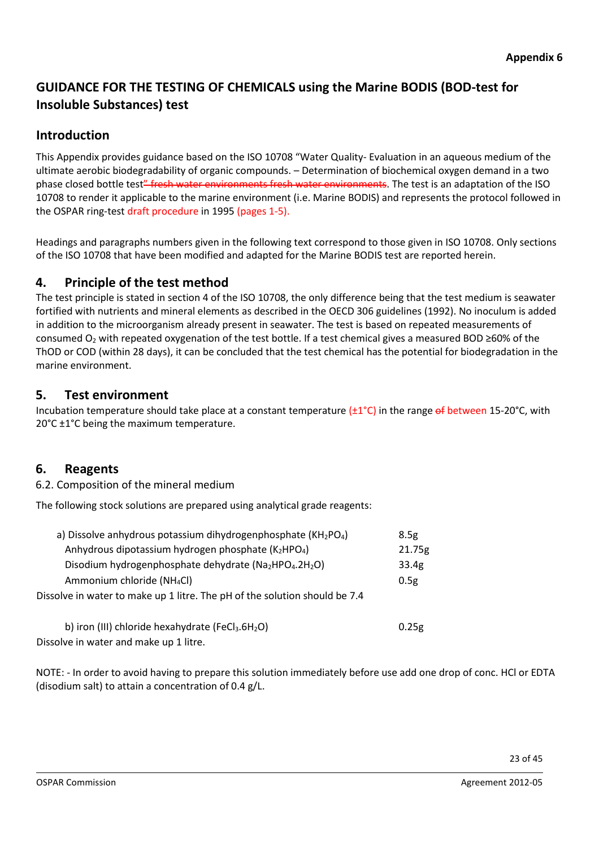# **GUIDANCE FOR THE TESTING OF CHEMICALS using the Marine BODIS (BOD-test for Insoluble Substances) test**

# **Introduction**

This Appendix provides guidance based on the ISO 10708 "Water Quality- Evaluation in an aqueous medium of the ultimate aerobic biodegradability of organic compounds. – Determination of biochemical oxygen demand in a two phase closed bottle test" fresh water environments fresh water environments. The test is an adaptation of the ISO 10708 to render it applicable to the marine environment (i.e. Marine BODIS) and represents the protocol followed in the OSPAR ring-test draft procedure in 1995 (pages 1-5).

Headings and paragraphs numbers given in the following text correspond to those given in ISO 10708. Only sections of the ISO 10708 that have been modified and adapted for the Marine BODIS test are reported herein.

# **4. Principle of the test method**

The test principle is stated in section 4 of the ISO 10708, the only difference being that the test medium is seawater fortified with nutrients and mineral elements as described in the OECD 306 guidelines (1992). No inoculum is added in addition to the microorganism already present in seawater. The test is based on repeated measurements of consumed  $O_2$  with repeated oxygenation of the test bottle. If a test chemical gives a measured BOD ≥60% of the ThOD or COD (within 28 days), it can be concluded that the test chemical has the potential for biodegradation in the marine environment.

# **5. Test environment**

Incubation temperature should take place at a constant temperature  $(\pm 1^{\circ}C)$  in the range of between 15-20°C, with 20°C ±1°C being the maximum temperature.

# **6. Reagents**

6.2. Composition of the mineral medium

The following stock solutions are prepared using analytical grade reagents:

| a) Dissolve anhydrous potassium dihydrogenphosphate (KH2PO4)               | 8.5g              |
|----------------------------------------------------------------------------|-------------------|
| Anhydrous dipotassium hydrogen phosphate (K2HPO4)                          | 21.75g            |
| Disodium hydrogenphosphate dehydrate (Na2HPO4.2H2O)                        | 33.4 <sub>g</sub> |
| Ammonium chloride (NH <sub>4</sub> Cl)                                     | 0.5g              |
| Dissolve in water to make up 1 litre. The pH of the solution should be 7.4 |                   |
|                                                                            |                   |

| b) iron (III) chloride hexahydrate (FeCl <sub>3</sub> .6H <sub>2</sub> O) | 0.25g |
|---------------------------------------------------------------------------|-------|
| Dissolve in water and make up 1 litre.                                    |       |

NOTE: - In order to avoid having to prepare this solution immediately before use add one drop of conc. HCl or EDTA (disodium salt) to attain a concentration of 0.4 g/L.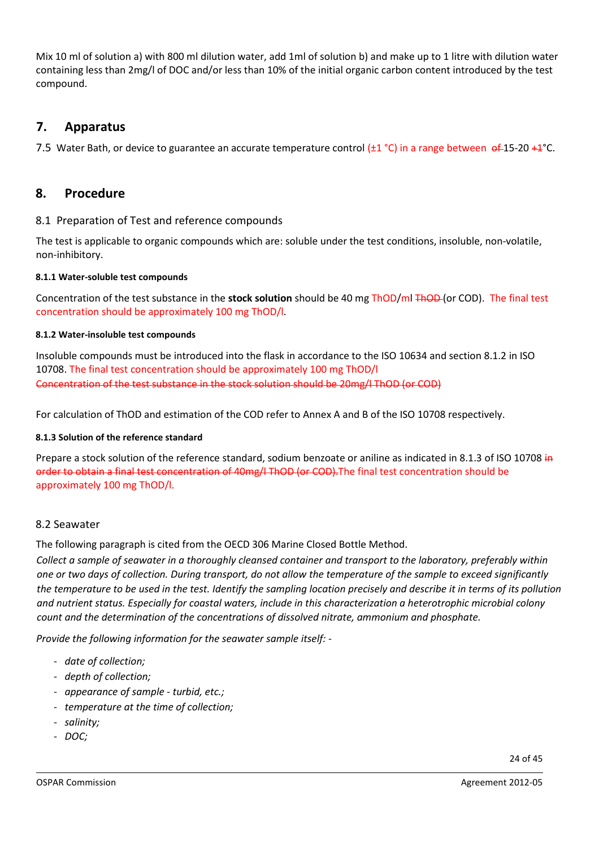Mix 10 ml of solution a) with 800 ml dilution water, add 1ml of solution b) and make up to 1 litre with dilution water containing less than 2mg/l of DOC and/or less than 10% of the initial organic carbon content introduced by the test compound.

# **7. Apparatus**

7.5 Water Bath, or device to guarantee an accurate temperature control  $(\pm 1 \degree C)$  in a range between  $\Theta$   $\pm$  15-20  $\pm$   $\pm$   $\degree$ C.

# **8. Procedure**

### 8.1 Preparation of Test and reference compounds

The test is applicable to organic compounds which are: soluble under the test conditions, insoluble, non-volatile, non-inhibitory.

#### **8.1.1 Water-soluble test compounds**

Concentration of the test substance in the **stock solution** should be 40 mg ThOD/ml ThOD (or COD). The final test concentration should be approximately 100 mg ThOD/l.

#### **8.1.2 Water-insoluble test compounds**

Insoluble compounds must be introduced into the flask in accordance to the ISO 10634 and section 8.1.2 in ISO 10708. The final test concentration should be approximately 100 mg ThOD/l Concentration of the test substance in the stock solution should be 20mg/l ThOD (or COD)

For calculation of ThOD and estimation of the COD refer to Annex A and B of the ISO 10708 respectively.

#### **8.1.3 Solution of the reference standard**

Prepare a stock solution of the reference standard, sodium benzoate or aniline as indicated in 8.1.3 of ISO 10708 in order to obtain a final test concentration of 40mg/l ThOD (or COD). The final test concentration should be approximately 100 mg ThOD/l.

#### 8.2 Seawater

The following paragraph is cited from the OECD 306 Marine Closed Bottle Method.

*Collect a sample of seawater in a thoroughly cleansed container and transport to the laboratory, preferably within one or two days of collection. During transport, do not allow the temperature of the sample to exceed significantly the temperature to be used in the test. Identify the sampling location precisely and describe it in terms of its pollution and nutrient status. Especially for coastal waters, include in this characterization a heterotrophic microbial colony count and the determination of the concentrations of dissolved nitrate, ammonium and phosphate.* 

*Provide the following information for the seawater sample itself:* -

- *date of collection;*
- *depth of collection;*
- *appearance of sample - turbid, etc.;*
- *temperature at the time of collection;*
- *salinity;*
- *DOC;*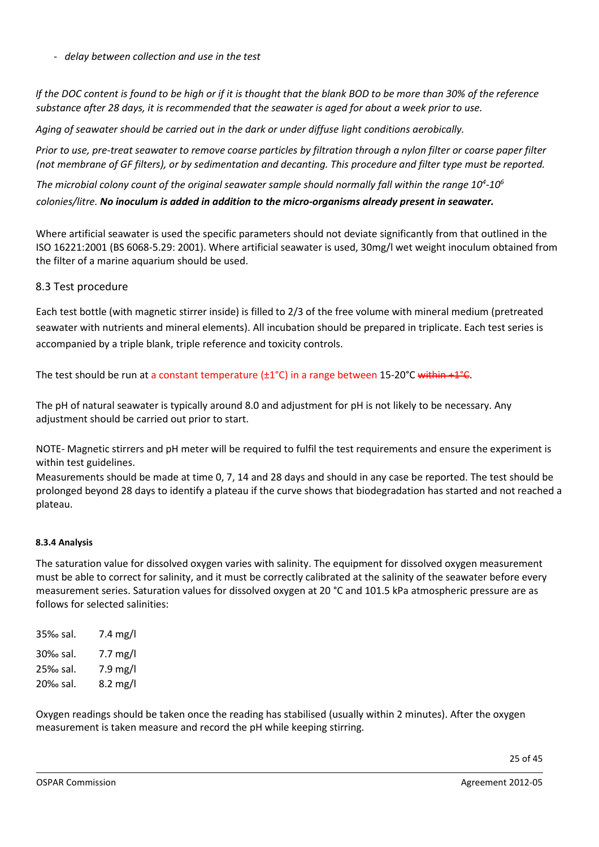- *delay between collection and use in the test* 

*If the DOC content is found to be high or if it is thought that the blank BOD to be more than 30% of the reference substance after 28 days, it is recommended that the seawater is aged for about a week prior to use.* 

*Aging of seawater should be carried out in the dark or under diffuse light conditions aerobically.* 

*Prior to use, pre-treat seawater to remove coarse particles by filtration through a nylon filter or coarse paper filter (not membrane of GF filters), or by sedimentation and decanting. This procedure and filter type must be reported.* 

*The microbial colony count of the original seawater sample should normally fall within the range 10<sup>4</sup> -106 colonies/litre. No inoculum is added in addition to the micro-organisms already present in seawater.* 

Where artificial seawater is used the specific parameters should not deviate significantly from that outlined in the ISO 16221:2001 (BS 6068-5.29: 2001). Where artificial seawater is used, 30mg/l wet weight inoculum obtained from the filter of a marine aquarium should be used.

#### 8.3 Test procedure

Each test bottle (with magnetic stirrer inside) is filled to 2/3 of the free volume with mineral medium (pretreated seawater with nutrients and mineral elements). All incubation should be prepared in triplicate. Each test series is accompanied by a triple blank, triple reference and toxicity controls.

The test should be run at a constant temperature  $(\pm 1^{\circ}C)$  in a range between 15-20°C within +1°C.

The pH of natural seawater is typically around 8.0 and adjustment for pH is not likely to be necessary. Any adjustment should be carried out prior to start.

NOTE- Magnetic stirrers and pH meter will be required to fulfil the test requirements and ensure the experiment is within test guidelines.

Measurements should be made at time 0, 7, 14 and 28 days and should in any case be reported. The test should be prolonged beyond 28 days to identify a plateau if the curve shows that biodegradation has started and not reached a plateau.

#### **8.3.4 Analysis**

The saturation value for dissolved oxygen varies with salinity. The equipment for dissolved oxygen measurement must be able to correct for salinity, and it must be correctly calibrated at the salinity of the seawater before every measurement series. Saturation values for dissolved oxygen at 20 °C and 101.5 kPa atmospheric pressure are as follows for selected salinities:

| 35‰ sal. | $7.4 \text{ mg/l}$ |
|----------|--------------------|
| 30‰ sal. | $7.7$ mg/l         |
| 25‰ sal. | 7.9 mg/l           |
| 20‰ sal. | 8.2 mg/l           |

Oxygen readings should be taken once the reading has stabilised (usually within 2 minutes). After the oxygen measurement is taken measure and record the pH while keeping stirring.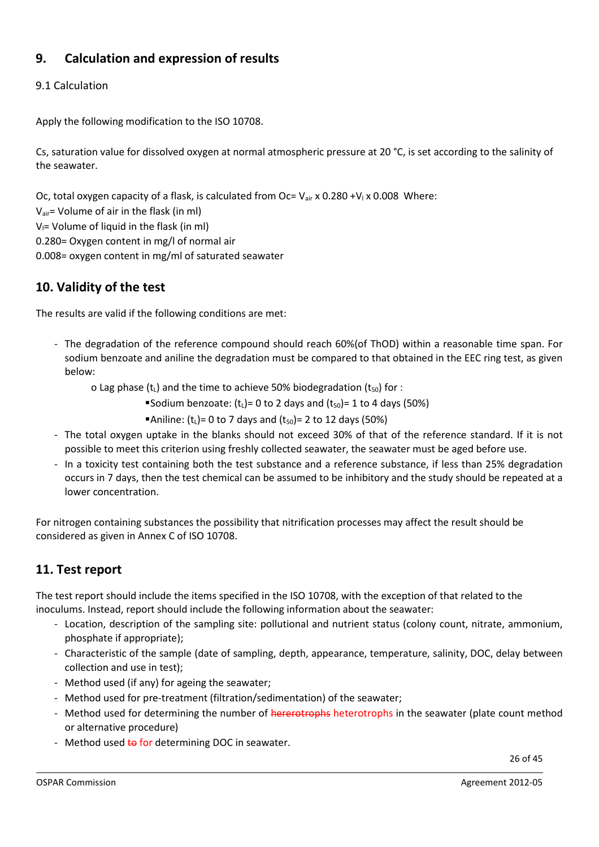# **9. Calculation and expression of results**

### 9.1 Calculation

Apply the following modification to the ISO 10708.

Cs, saturation value for dissolved oxygen at normal atmospheric pressure at 20 °C, is set according to the salinity of the seawater.

Oc, total oxygen capacity of a flask, is calculated from Oc=  $V_{air}$  x 0.280 +V<sub>l</sub> x 0.008 Where:

Vair= Volume of air in the flask (in ml)

 $V =$  Volume of liquid in the flask (in ml)

0.280= Oxygen content in mg/l of normal air

0.008= oxygen content in mg/ml of saturated seawater

# **10. Validity of the test**

The results are valid if the following conditions are met:

- The degradation of the reference compound should reach 60%(of ThOD) within a reasonable time span. For sodium benzoate and aniline the degradation must be compared to that obtained in the EEC ring test, as given below:

o Lag phase  $(t_1)$  and the time to achieve 50% biodegradation  $(t_{50})$  for :

- Sodium benzoate:  $(t_1)= 0$  to 2 days and  $(t_{50})= 1$  to 4 days (50%)
	- ■Aniline:  $(t_1)$ = 0 to 7 days and  $(t_{50})$ = 2 to 12 days (50%)
- The total oxygen uptake in the blanks should not exceed 30% of that of the reference standard. If it is not possible to meet this criterion using freshly collected seawater, the seawater must be aged before use.
- In a toxicity test containing both the test substance and a reference substance, if less than 25% degradation occurs in 7 days, then the test chemical can be assumed to be inhibitory and the study should be repeated at a lower concentration.

For nitrogen containing substances the possibility that nitrification processes may affect the result should be considered as given in Annex C of ISO 10708.

# **11. Test report**

The test report should include the items specified in the ISO 10708, with the exception of that related to the inoculums. Instead, report should include the following information about the seawater:

- Location, description of the sampling site: pollutional and nutrient status (colony count, nitrate, ammonium, phosphate if appropriate);
- Characteristic of the sample (date of sampling, depth, appearance, temperature, salinity, DOC, delay between collection and use in test);
- Method used (if any) for ageing the seawater;
- Method used for pre-treatment (filtration/sedimentation) of the seawater;
- Method used for determining the number of hererotrophs heterotrophs in the seawater (plate count method or alternative procedure)
- Method used to for determining DOC in seawater.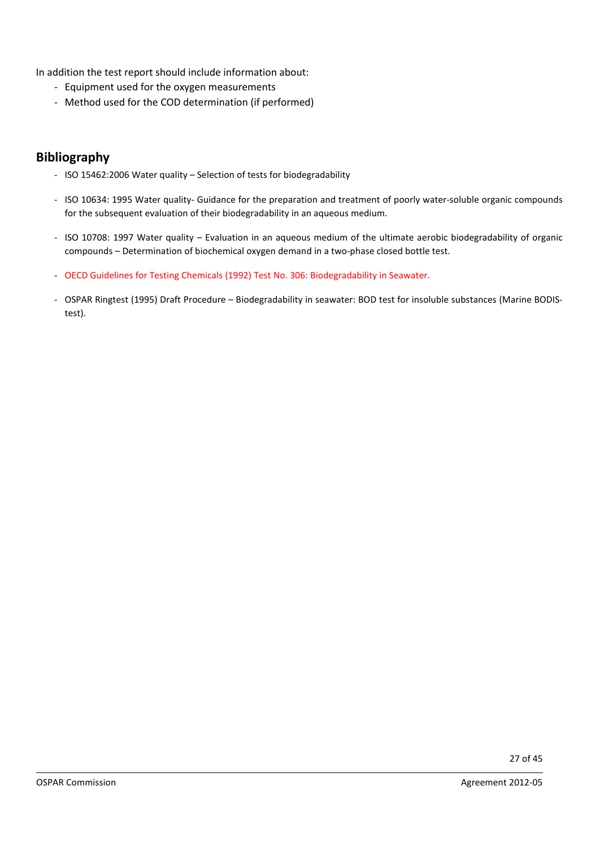In addition the test report should include information about:

- Equipment used for the oxygen measurements
- Method used for the COD determination (if performed)

### **Bibliography**

- ISO 15462:2006 Water quality Selection of tests for biodegradability
- ISO 10634: 1995 Water quality- Guidance for the preparation and treatment of poorly water-soluble organic compounds for the subsequent evaluation of their biodegradability in an aqueous medium.
- ISO 10708: 1997 Water quality Evaluation in an aqueous medium of the ultimate aerobic biodegradability of organic compounds – Determination of biochemical oxygen demand in a two-phase closed bottle test.
- OECD Guidelines for Testing Chemicals (1992) Test No. 306: Biodegradability in Seawater.
- OSPAR Ringtest (1995) Draft Procedure Biodegradability in seawater: BOD test for insoluble substances (Marine BODIStest).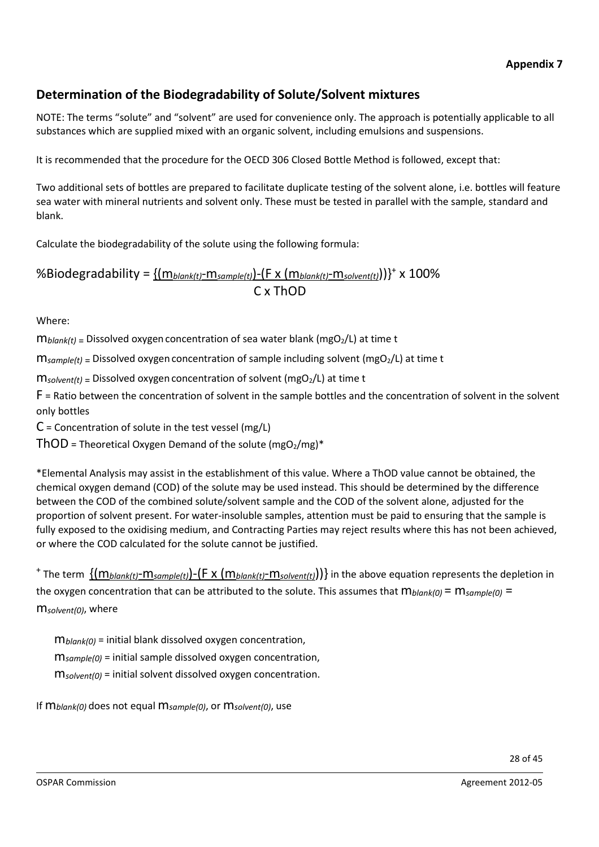# **Determination of the Biodegradability of Solute/Solvent mixtures**

NOTE: The terms "solute" and "solvent" are used for convenience only. The approach is potentially applicable to all substances which are supplied mixed with an organic solvent, including emulsions and suspensions.

It is recommended that the procedure for the OECD 306 Closed Bottle Method is followed, except that:

Two additional sets of bottles are prepared to facilitate duplicate testing of the solvent alone, i.e. bottles will feature sea water with mineral nutrients and solvent only. These must be tested in parallel with the sample, standard and blank.

Calculate the biodegradability of the solute using the following formula:

%Biodegradability = {(m*blank(t)*-m*sample(t)*)-(F x (m*blank(t)*-m*solvent(t)*))}+ x 100% C x ThOD

Where:

 $m_{\text{blank}}(t)$  = Dissolved oxygen concentration of sea water blank (mgO<sub>2</sub>/L) at time t

m*sample(t)* = Dissolved oxygen concentration of sample including solvent (mgO2/L) at time t

m*solvent(t)* = Dissolved oxygen concentration of solvent (mgO2/L) at time t

F = Ratio between the concentration of solvent in the sample bottles and the concentration of solvent in the solvent only bottles

 $C =$  Concentration of solute in the test vessel (mg/L)

 $ThOD$  = Theoretical Oxygen Demand of the solute (mgO<sub>2</sub>/mg)\*

\*Elemental Analysis may assist in the establishment of this value. Where a ThOD value cannot be obtained, the chemical oxygen demand (COD) of the solute may be used instead. This should be determined by the difference between the COD of the combined solute/solvent sample and the COD of the solvent alone, adjusted for the proportion of solvent present. For water-insoluble samples, attention must be paid to ensuring that the sample is fully exposed to the oxidising medium, and Contracting Parties may reject results where this has not been achieved, or where the COD calculated for the solute cannot be justified.

<sup>+</sup> The term {(m*blank(t)*-m*sample(t)*)-(F x (m*blank(t)*-m*solvent(t)*))} in the above equation represents the depletion in the oxygen concentration that can be attributed to the solute. This assumes that m*blank(0)* = m*sample(0)* = m*solvent(0)*, where

m*blank(0)* = initial blank dissolved oxygen concentration, m*sample(0)* = initial sample dissolved oxygen concentration, m*solvent(0)* = initial solvent dissolved oxygen concentration.

If m*blank(0)* does not equal m*sample(0)*, or m*solvent(0)*, use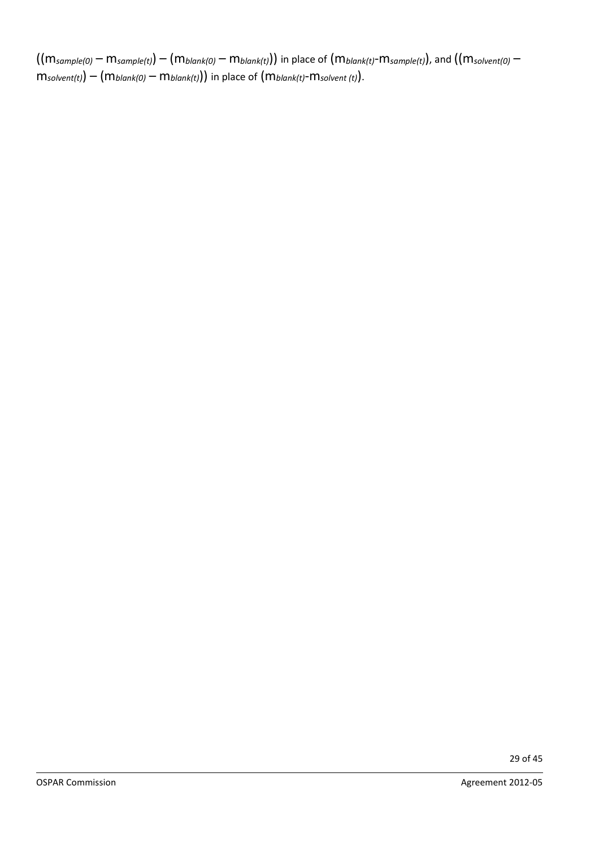((m*sample(0)* – m*sample(t)*) – (m*blank(0)* – m*blank(t)*)) in place of (m*blank(t)*-m*sample(t)*), and ((m*solvent(0)* – m*solvent(t)*) – (m*blank(0)* – m*blank(t)*)) in place of (m*blank(t)*-m*solvent (t)*).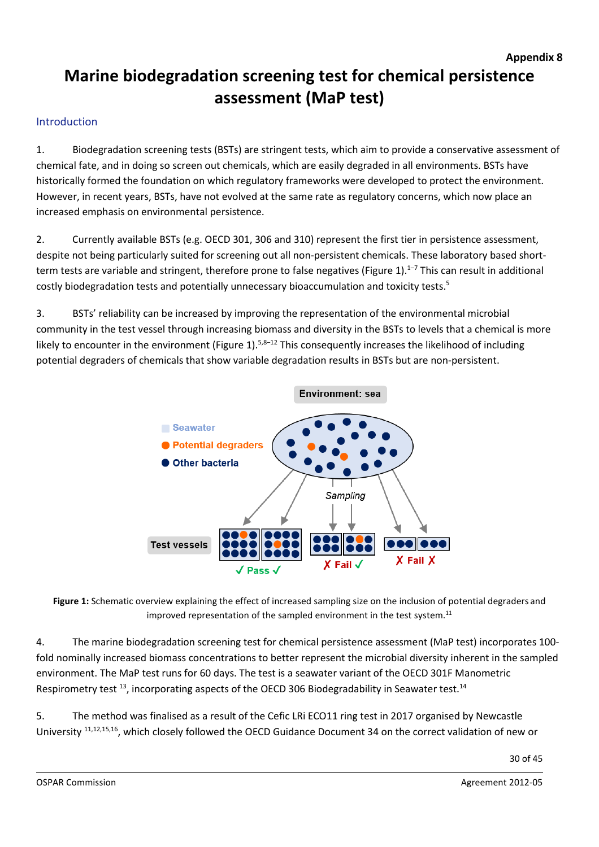# **Marine biodegradation screening test for chemical persistence assessment (MaP test)**

### Introduction

1. Biodegradation screening tests (BSTs) are stringent tests, which aim to provide a conservative assessment of chemical fate, and in doing so screen out chemicals, which are easily degraded in all environments. BSTs have historically formed the foundation on which regulatory frameworks were developed to protect the environment. However, in recent years, BSTs, have not evolved at the same rate as regulatory concerns, which now place an increased emphasis on environmental persistence.

2. Currently available BSTs (e.g. OECD 301, 306 and 310) represent the first tier in persistence assessment, despite not being particularly suited for screening out all non-persistent chemicals. These laboratory based shortterm tests are variable and stringent, therefore prone to false negatives (Figure 1).<sup>1–7</sup> This can result in additional costly biodegradation tests and potentially unnecessary bioaccumulation and toxicity tests. 5

3. BSTs' reliability can be increased by improving the representation of the environmental microbial community in the test vessel through increasing biomass and diversity in the BSTs to levels that a chemical is more likely to encounter in the environment (Figure 1).<sup>5,8–12</sup> This consequently increases the likelihood of including potential degraders of chemicals that show variable degradation results in BSTs but are non-persistent.



**Figure 1:** Schematic overview explaining the effect of increased sampling size on the inclusion of potential degraders and improved representation of the sampled environment in the test system.<sup>11</sup>

4. The marine biodegradation screening test for chemical persistence assessment (MaP test) incorporates 100 fold nominally increased biomass concentrations to better represent the microbial diversity inherent in the sampled environment. The MaP test runs for 60 days. The test is a seawater variant of the OECD 301F Manometric Respirometry test  $^{13}$ , incorporating aspects of the OECD 306 Biodegradability in Seawater test.<sup>14</sup>

5. The method was finalised as a result of the Cefic LRi ECO11 ring test in 2017 organised by Newcastle University 11,12,15,16, which closely followed the OECD Guidance Document 34 on the correct validation of new or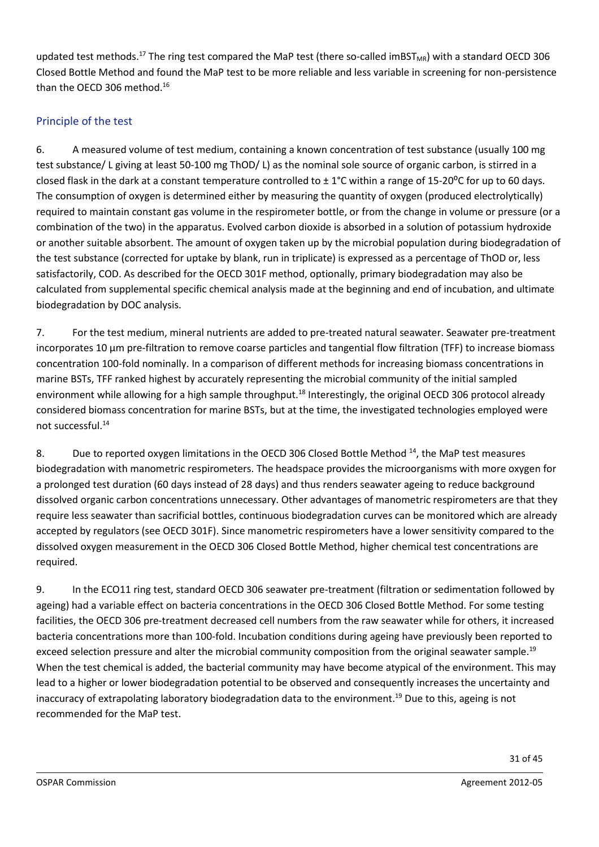updated test methods.<sup>17</sup> The ring test compared the MaP test (there so-called imBST<sub>MR</sub>) with a standard OECD 306 Closed Bottle Method and found the MaP test to be more reliable and less variable in screening for non-persistence than the OECD 306 method. 16

### Principle of the test

6. A measured volume of test medium, containing a known concentration of test substance (usually 100 mg test substance/ L giving at least 50-100 mg ThOD/ L) as the nominal sole source of organic carbon, is stirred in a closed flask in the dark at a constant temperature controlled to  $\pm 1^{\circ}$ C within a range of 15-20<sup>o</sup>C for up to 60 days. The consumption of oxygen is determined either by measuring the quantity of oxygen (produced electrolytically) required to maintain constant gas volume in the respirometer bottle, or from the change in volume or pressure (or a combination of the two) in the apparatus. Evolved carbon dioxide is absorbed in a solution of potassium hydroxide or another suitable absorbent. The amount of oxygen taken up by the microbial population during biodegradation of the test substance (corrected for uptake by blank, run in triplicate) is expressed as a percentage of ThOD or, less satisfactorily, COD. As described for the OECD 301F method, optionally, primary biodegradation may also be calculated from supplemental specific chemical analysis made at the beginning and end of incubation, and ultimate biodegradation by DOC analysis.

7. For the test medium, mineral nutrients are added to pre-treated natural seawater. Seawater pre-treatment incorporates 10 µm pre-filtration to remove coarse particles and tangential flow filtration (TFF) to increase biomass concentration 100-fold nominally. In a comparison of different methods for increasing biomass concentrations in marine BSTs, TFF ranked highest by accurately representing the microbial community of the initial sampled environment while allowing for a high sample throughput.<sup>18</sup> Interestingly, the original OECD 306 protocol already considered biomass concentration for marine BSTs, but at the time, the investigated technologies employed were not successful. 14

8. Due to reported oxygen limitations in the OECD 306 Closed Bottle Method <sup>14</sup>, the MaP test measures biodegradation with manometric respirometers. The headspace provides the microorganisms with more oxygen for a prolonged test duration (60 days instead of 28 days) and thus renders seawater ageing to reduce background dissolved organic carbon concentrations unnecessary. Other advantages of manometric respirometers are that they require less seawater than sacrificial bottles, continuous biodegradation curves can be monitored which are already accepted by regulators (see OECD 301F). Since manometric respirometers have a lower sensitivity compared to the dissolved oxygen measurement in the OECD 306 Closed Bottle Method, higher chemical test concentrations are required.

9. In the ECO11 ring test, standard OECD 306 seawater pre-treatment (filtration or sedimentation followed by ageing) had a variable effect on bacteria concentrations in the OECD 306 Closed Bottle Method. For some testing facilities, the OECD 306 pre-treatment decreased cell numbers from the raw seawater while for others, it increased bacteria concentrations more than 100-fold. Incubation conditions during ageing have previously been reported to exceed selection pressure and alter the microbial community composition from the original seawater sample.<sup>19</sup> When the test chemical is added, the bacterial community may have become atypical of the environment. This may lead to a higher or lower biodegradation potential to be observed and consequently increases the uncertainty and inaccuracy of extrapolating laboratory biodegradation data to the environment. <sup>19</sup> Due to this, ageing is not recommended for the MaP test.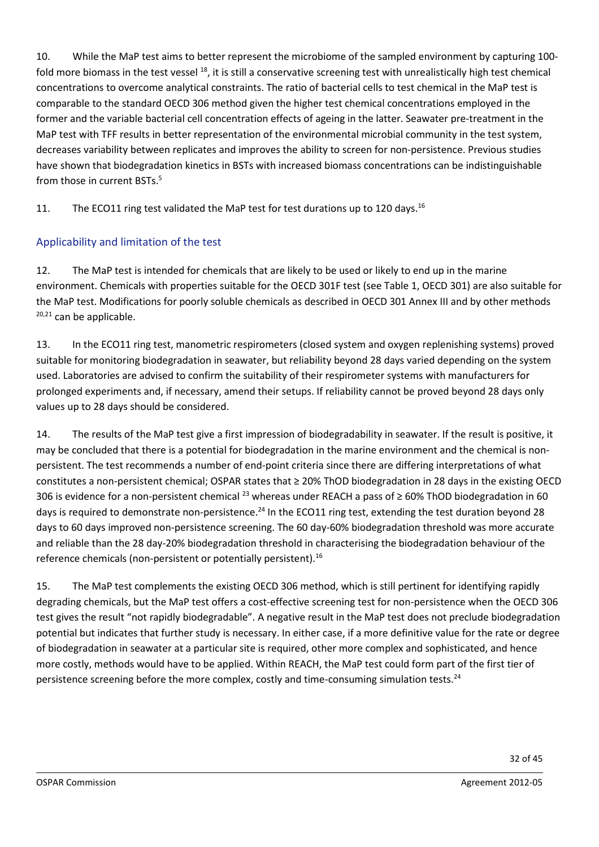10. While the MaP test aims to better represent the microbiome of the sampled environment by capturing 100 fold more biomass in the test vessel  $^{18}$ , it is still a conservative screening test with unrealistically high test chemical concentrations to overcome analytical constraints. The ratio of bacterial cells to test chemical in the MaP test is comparable to the standard OECD 306 method given the higher test chemical concentrations employed in the former and the variable bacterial cell concentration effects of ageing in the latter. Seawater pre-treatment in the MaP test with TFF results in better representation of the environmental microbial community in the test system, decreases variability between replicates and improves the ability to screen for non-persistence. Previous studies have shown that biodegradation kinetics in BSTs with increased biomass concentrations can be indistinguishable from those in current BSTs. 5

11. The ECO11 ring test validated the MaP test for test durations up to 120 days.<sup>16</sup>

# Applicability and limitation of the test

12. The MaP test is intended for chemicals that are likely to be used or likely to end up in the marine environment. Chemicals with properties suitable for the OECD 301F test (see Table 1, OECD 301) are also suitable for the MaP test. Modifications for poorly soluble chemicals as described in OECD 301 Annex III and by other methods  $20,21$  can be applicable.

13. In the ECO11 ring test, manometric respirometers (closed system and oxygen replenishing systems) proved suitable for monitoring biodegradation in seawater, but reliability beyond 28 days varied depending on the system used. Laboratories are advised to confirm the suitability of their respirometer systems with manufacturers for prolonged experiments and, if necessary, amend their setups. If reliability cannot be proved beyond 28 days only values up to 28 days should be considered.

14. The results of the MaP test give a first impression of biodegradability in seawater. If the result is positive, it may be concluded that there is a potential for biodegradation in the marine environment and the chemical is nonpersistent. The test recommends a number of end-point criteria since there are differing interpretations of what constitutes a non-persistent chemical; OSPAR states that ≥ 20% ThOD biodegradation in 28 days in the existing OECD 306 is evidence for a non-persistent chemical <sup>23</sup> whereas under REACH a pass of ≥ 60% ThOD biodegradation in 60 days is required to demonstrate non-persistence.<sup>24</sup> In the ECO11 ring test, extending the test duration beyond 28 days to 60 days improved non-persistence screening. The 60 day-60% biodegradation threshold was more accurate and reliable than the 28 day-20% biodegradation threshold in characterising the biodegradation behaviour of the reference chemicals (non-persistent or potentially persistent).<sup>16</sup>

15. The MaP test complements the existing OECD 306 method, which is still pertinent for identifying rapidly degrading chemicals, but the MaP test offers a cost-effective screening test for non-persistence when the OECD 306 test gives the result "not rapidly biodegradable". A negative result in the MaP test does not preclude biodegradation potential but indicates that further study is necessary. In either case, if a more definitive value for the rate or degree of biodegradation in seawater at a particular site is required, other more complex and sophisticated, and hence more costly, methods would have to be applied. Within REACH, the MaP test could form part of the first tier of persistence screening before the more complex, costly and time-consuming simulation tests.<sup>24</sup>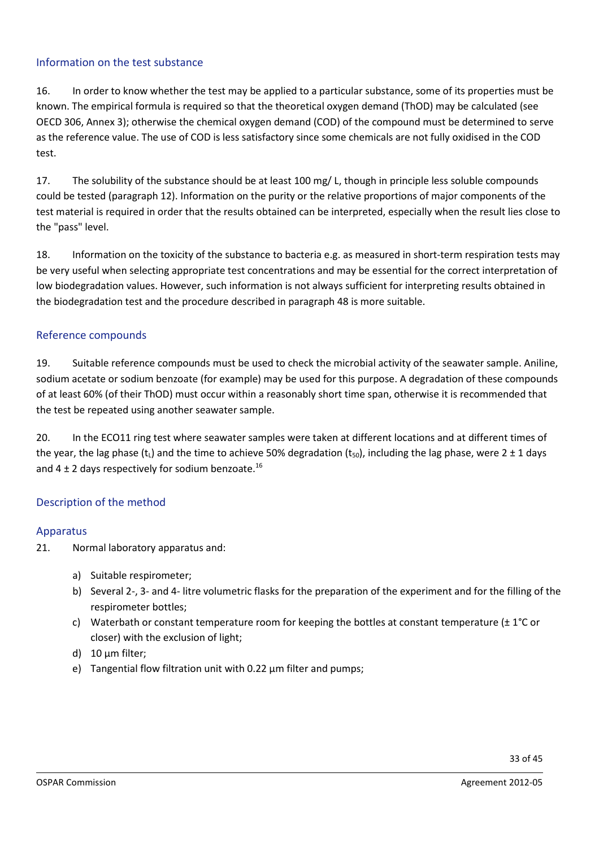#### Information on the test substance

16. In order to know whether the test may be applied to a particular substance, some of its properties must be known. The empirical formula is required so that the theoretical oxygen demand (ThOD) may be calculated (see OECD 306, Annex 3); otherwise the chemical oxygen demand (COD) of the compound must be determined to serve as the reference value. The use of COD is less satisfactory since some chemicals are not fully oxidised in the COD test.

17. The solubility of the substance should be at least 100 mg/ L, though in principle less soluble compounds could be tested (paragraph 12). Information on the purity or the relative proportions of major components of the test material is required in order that the results obtained can be interpreted, especially when the result lies close to the "pass" level.

18. Information on the toxicity of the substance to bacteria e.g. as measured in short-term respiration tests may be very useful when selecting appropriate test concentrations and may be essential for the correct interpretation of low biodegradation values. However, such information is not always sufficient for interpreting results obtained in the biodegradation test and the procedure described in paragraph 48 is more suitable.

### Reference compounds

19. Suitable reference compounds must be used to check the microbial activity of the seawater sample. Aniline, sodium acetate or sodium benzoate (for example) may be used for this purpose. A degradation of these compounds of at least 60% (of their ThOD) must occur within a reasonably short time span, otherwise it is recommended that the test be repeated using another seawater sample.

20. In the ECO11 ring test where seawater samples were taken at different locations and at different times of the year, the lag phase (t<sub>L</sub>) and the time to achieve 50% degradation (t<sub>50</sub>), including the lag phase, were 2 ± 1 days and 4  $\pm$  2 days respectively for sodium benzoate.<sup>16</sup>

#### Description of the method

#### Apparatus

- 21. Normal laboratory apparatus and:
	- a) Suitable respirometer;
	- b) Several 2-, 3- and 4- litre volumetric flasks for the preparation of the experiment and for the filling of the respirometer bottles;
	- c) Waterbath or constant temperature room for keeping the bottles at constant temperature  $(\pm 1^{\circ}C)$  or closer) with the exclusion of light;
	- d) 10 µm filter;
	- e) Tangential flow filtration unit with 0.22 µm filter and pumps;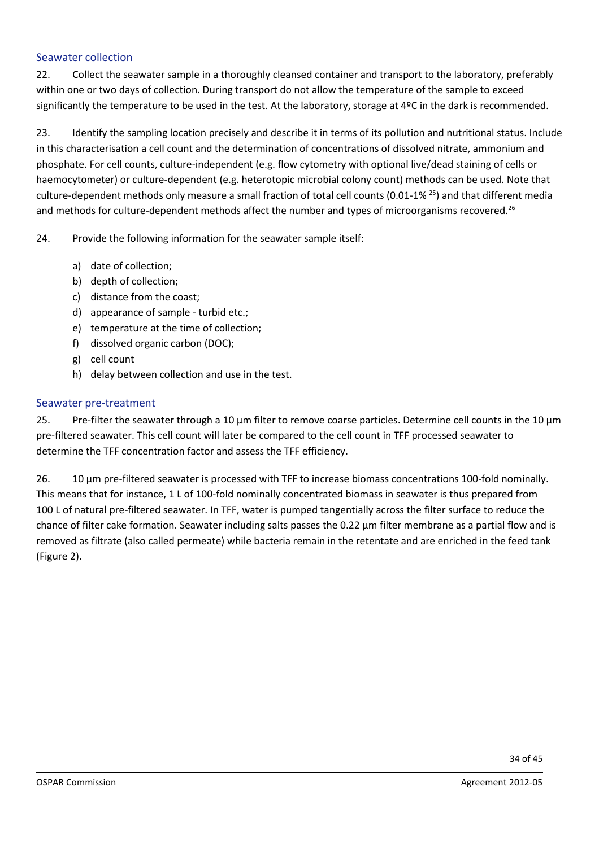#### Seawater collection

22. Collect the seawater sample in a thoroughly cleansed container and transport to the laboratory, preferably within one or two days of collection. During transport do not allow the temperature of the sample to exceed significantly the temperature to be used in the test. At the laboratory, storage at 4ºC in the dark is recommended.

23. Identify the sampling location precisely and describe it in terms of its pollution and nutritional status. Include in this characterisation a cell count and the determination of concentrations of dissolved nitrate, ammonium and phosphate. For cell counts, culture-independent (e.g. flow cytometry with optional live/dead staining of cells or haemocytometer) or culture-dependent (e.g. heterotopic microbial colony count) methods can be used. Note that culture-dependent methods only measure a small fraction of total cell counts (0.01-1% 25) and that different media and methods for culture-dependent methods affect the number and types of microorganisms recovered.<sup>26</sup>

24. Provide the following information for the seawater sample itself:

- a) date of collection;
- b) depth of collection;
- c) distance from the coast;
- d) appearance of sample turbid etc.;
- e) temperature at the time of collection;
- f) dissolved organic carbon (DOC);
- g) cell count
- h) delay between collection and use in the test.

#### Seawater pre-treatment

25. Pre-filter the seawater through a 10  $\mu$ m filter to remove coarse particles. Determine cell counts in the 10  $\mu$ m pre-filtered seawater. This cell count will later be compared to the cell count in TFF processed seawater to determine the TFF concentration factor and assess the TFF efficiency.

26. 10 µm pre-filtered seawater is processed with TFF to increase biomass concentrations 100-fold nominally. This means that for instance, 1 L of 100-fold nominally concentrated biomass in seawater is thus prepared from 100 L of natural pre-filtered seawater. In TFF, water is pumped tangentially across the filter surface to reduce the chance of filter cake formation. Seawater including salts passes the 0.22 µm filter membrane as a partial flow and is removed as filtrate (also called permeate) while bacteria remain in the retentate and are enriched in the feed tank (Figure 2).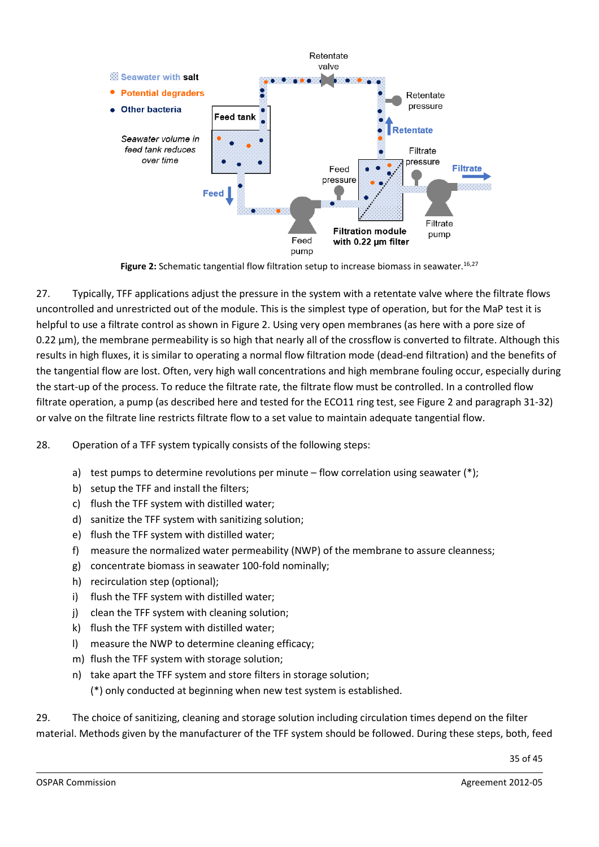

**Figure 2:** Schematic tangential flow filtration setup to increase biomass in seawater. 16,27

27. Typically, TFF applications adjust the pressure in the system with a retentate valve where the filtrate flows uncontrolled and unrestricted out of the module. This is the simplest type of operation, but for the MaP test it is helpful to use a filtrate control as shown in Figure 2. Using very open membranes (as here with a pore size of 0.22  $\mu$ m), the membrane permeability is so high that nearly all of the crossflow is converted to filtrate. Although this results in high fluxes, it is similar to operating a normal flow filtration mode (dead-end filtration) and the benefits of the tangential flow are lost. Often, very high wall concentrations and high membrane fouling occur, especially during the start-up of the process. To reduce the filtrate rate, the filtrate flow must be controlled. In a controlled flow filtrate operation, a pump (as described here and tested for the ECO11 ring test, see Figure 2 and paragraph 31-32) or valve on the filtrate line restricts filtrate flow to a set value to maintain adequate tangential flow.

28. Operation of a TFF system typically consists of the following steps:

- a) test pumps to determine revolutions per minute flow correlation using seawater  $(*)$ ;
- b) setup the TFF and install the filters;
- c) flush the TFF system with distilled water;
- d) sanitize the TFF system with sanitizing solution;
- e) flush the TFF system with distilled water;
- f) measure the normalized water permeability (NWP) of the membrane to assure cleanness;
- g) concentrate biomass in seawater 100-fold nominally;
- h) recirculation step (optional);
- i) flush the TFF system with distilled water;
- j) clean the TFF system with cleaning solution;
- k) flush the TFF system with distilled water;
- l) measure the NWP to determine cleaning efficacy;
- m) flush the TFF system with storage solution;
- n) take apart the TFF system and store filters in storage solution; (\*) only conducted at beginning when new test system is established.

29. The choice of sanitizing, cleaning and storage solution including circulation times depend on the filter material. Methods given by the manufacturer of the TFF system should be followed. During these steps, both, feed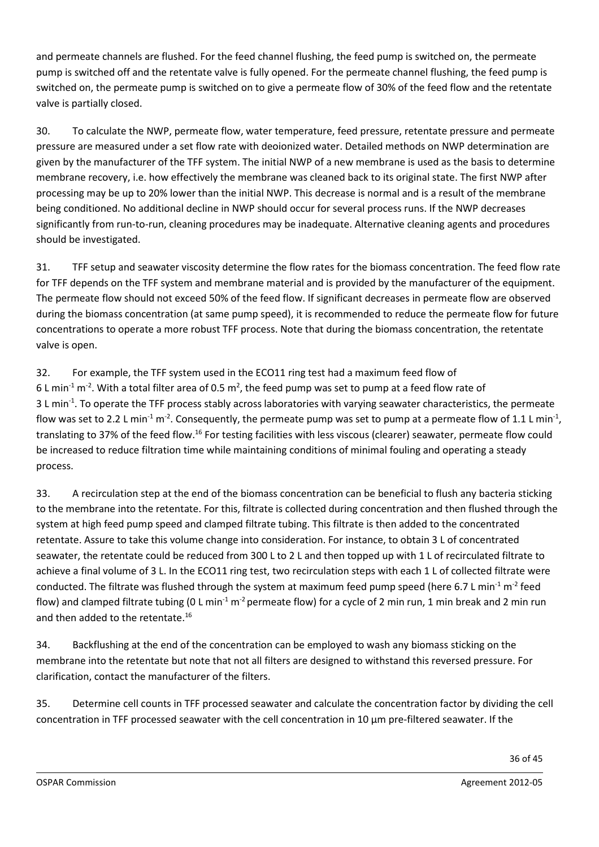and permeate channels are flushed. For the feed channel flushing, the feed pump is switched on, the permeate pump is switched off and the retentate valve is fully opened. For the permeate channel flushing, the feed pump is switched on, the permeate pump is switched on to give a permeate flow of 30% of the feed flow and the retentate valve is partially closed.

30. To calculate the NWP, permeate flow, water temperature, feed pressure, retentate pressure and permeate pressure are measured under a set flow rate with deoionized water. Detailed methods on NWP determination are given by the manufacturer of the TFF system. The initial NWP of a new membrane is used as the basis to determine membrane recovery, i.e. how effectively the membrane was cleaned back to its original state. The first NWP after processing may be up to 20% lower than the initial NWP. This decrease is normal and is a result of the membrane being conditioned. No additional decline in NWP should occur for several process runs. If the NWP decreases significantly from run-to-run, cleaning procedures may be inadequate. Alternative cleaning agents and procedures should be investigated.

31. TFF setup and seawater viscosity determine the flow rates for the biomass concentration. The feed flow rate for TFF depends on the TFF system and membrane material and is provided by the manufacturer of the equipment. The permeate flow should not exceed 50% of the feed flow. If significant decreases in permeate flow are observed during the biomass concentration (at same pump speed), it is recommended to reduce the permeate flow for future concentrations to operate a more robust TFF process. Note that during the biomass concentration, the retentate valve is open.

32. For example, the TFF system used in the ECO11 ring test had a maximum feed flow of 6 L min<sup>-1</sup> m<sup>-2</sup>. With a total filter area of 0.5 m<sup>2</sup>, the feed pump was set to pump at a feed flow rate of 3Lmin<sup>-1</sup>. To operate the TFF process stably across laboratories with varying seawater characteristics, the permeate flow was set to 2.2 L min<sup>-1</sup> m<sup>-2</sup>. Consequently, the permeate pump was set to pump at a permeate flow of 1.1 L min<sup>-1</sup>, translating to 37% of the feed flow.<sup>16</sup> For testing facilities with less viscous (clearer) seawater, permeate flow could be increased to reduce filtration time while maintaining conditions of minimal fouling and operating a steady process.

33. A recirculation step at the end of the biomass concentration can be beneficial to flush any bacteria sticking to the membrane into the retentate. For this, filtrate is collected during concentration and then flushed through the system at high feed pump speed and clamped filtrate tubing. This filtrate is then added to the concentrated retentate. Assure to take this volume change into consideration. For instance, to obtain 3 L of concentrated seawater, the retentate could be reduced from 300 L to 2 L and then topped up with 1 L of recirculated filtrate to achieve a final volume of 3 L. In the ECO11 ring test, two recirculation steps with each 1 L of collected filtrate were conducted. The filtrate was flushed through the system at maximum feed pump speed (here 6.7 L min<sup>-1</sup> m<sup>-2</sup> feed flow) and clamped filtrate tubing (0 L min<sup>-1</sup> m<sup>-2</sup> permeate flow) for a cycle of 2 min run, 1 min break and 2 min run and then added to the retentate. 16

34. Backflushing at the end of the concentration can be employed to wash any biomass sticking on the membrane into the retentate but note that not all filters are designed to withstand this reversed pressure. For clarification, contact the manufacturer of the filters.

35. Determine cell counts in TFF processed seawater and calculate the concentration factor by dividing the cell concentration in TFF processed seawater with the cell concentration in 10 µm pre-filtered seawater. If the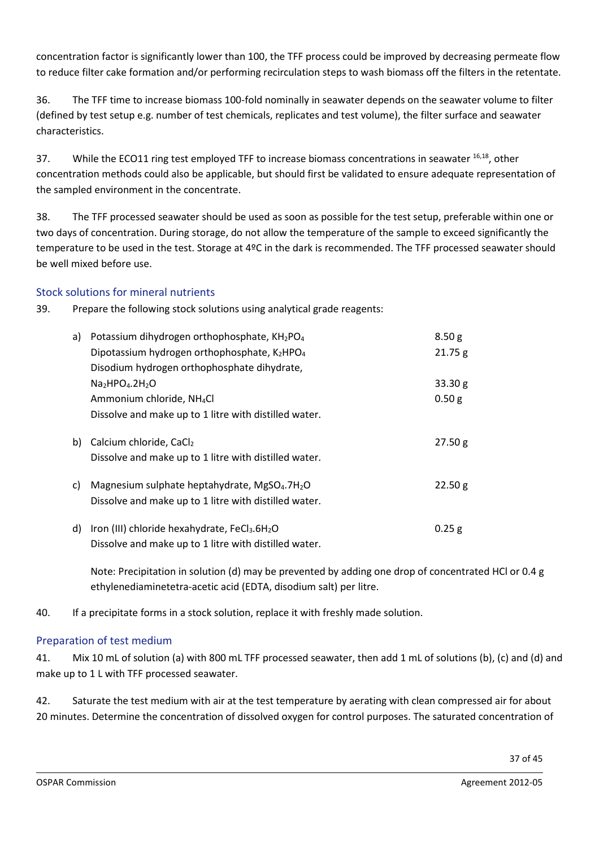concentration factor is significantly lower than 100, the TFF process could be improved by decreasing permeate flow to reduce filter cake formation and/or performing recirculation steps to wash biomass off the filters in the retentate.

36. The TFF time to increase biomass 100-fold nominally in seawater depends on the seawater volume to filter (defined by test setup e.g. number of test chemicals, replicates and test volume), the filter surface and seawater characteristics.

37. While the ECO11 ring test employed TFF to increase biomass concentrations in seawater <sup>16,18</sup>, other concentration methods could also be applicable, but should first be validated to ensure adequate representation of the sampled environment in the concentrate.

38. The TFF processed seawater should be used as soon as possible for the test setup, preferable within one or two days of concentration. During storage, do not allow the temperature of the sample to exceed significantly the temperature to be used in the test. Storage at 4ºC in the dark is recommended. The TFF processed seawater should be well mixed before use.

### Stock solutions for mineral nutrients

39. Prepare the following stock solutions using analytical grade reagents:

| a) | Potassium dihydrogen orthophosphate, KH2PO <sub>4</sub>                                                                        | 8.50 <sub>g</sub> |
|----|--------------------------------------------------------------------------------------------------------------------------------|-------------------|
|    | Dipotassium hydrogen orthophosphate, K2HPO4                                                                                    | 21.75 g           |
|    | Disodium hydrogen orthophosphate dihydrate,                                                                                    |                   |
|    | $Na2HPO4.2H2O$                                                                                                                 | 33.30 g           |
|    | Ammonium chloride, NH <sub>4</sub> Cl                                                                                          | 0.50 g            |
|    | Dissolve and make up to 1 litre with distilled water.                                                                          |                   |
| b) | Calcium chloride, CaCl2<br>Dissolve and make up to 1 litre with distilled water.                                               | 27.50 g           |
| C) | Magnesium sulphate heptahydrate, MgSO <sub>4</sub> .7H <sub>2</sub> O<br>Dissolve and make up to 1 litre with distilled water. | 22.50 g           |
| d) | Iron (III) chloride hexahydrate, FeCl3.6H2O<br>Dissolve and make up to 1 litre with distilled water.                           | $0.25$ g          |

Note: Precipitation in solution (d) may be prevented by adding one drop of concentrated HCl or 0.4 g ethylenediaminetetra-acetic acid (EDTA, disodium salt) per litre.

40. If a precipitate forms in a stock solution, replace it with freshly made solution.

### Preparation of test medium

41. Mix 10 mL of solution (a) with 800 mL TFF processed seawater, then add 1 mL of solutions (b), (c) and (d) and make up to 1 L with TFF processed seawater.

42. Saturate the test medium with air at the test temperature by aerating with clean compressed air for about 20 minutes. Determine the concentration of dissolved oxygen for control purposes. The saturated concentration of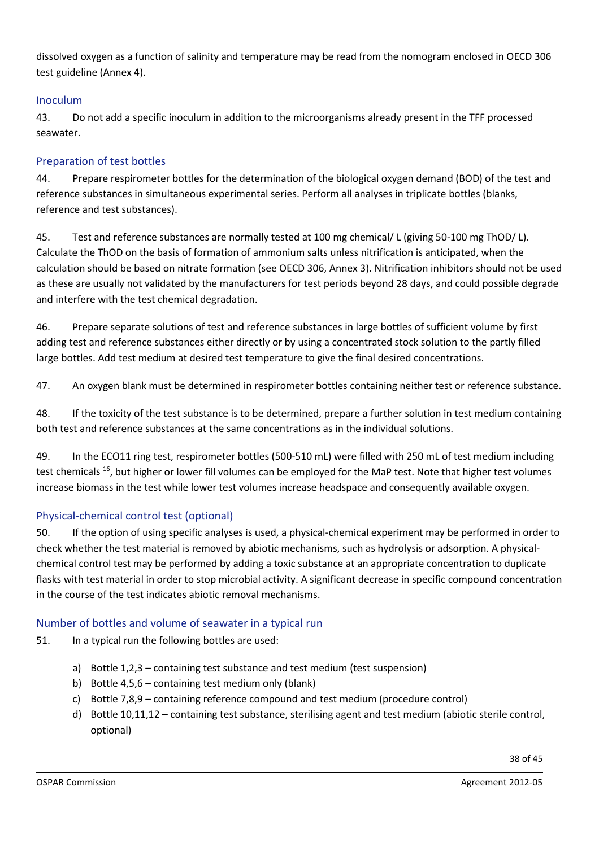dissolved oxygen as a function of salinity and temperature may be read from the nomogram enclosed in OECD 306 test guideline (Annex 4).

### Inoculum

43. Do not add a specific inoculum in addition to the microorganisms already present in the TFF processed seawater.

### Preparation of test bottles

44. Prepare respirometer bottles for the determination of the biological oxygen demand (BOD) of the test and reference substances in simultaneous experimental series. Perform all analyses in triplicate bottles (blanks, reference and test substances).

45. Test and reference substances are normally tested at 100 mg chemical/ L (giving 50-100 mg ThOD/ L). Calculate the ThOD on the basis of formation of ammonium salts unless nitrification is anticipated, when the calculation should be based on nitrate formation (see OECD 306, Annex 3). Nitrification inhibitors should not be used as these are usually not validated by the manufacturers for test periods beyond 28 days, and could possible degrade and interfere with the test chemical degradation.

46. Prepare separate solutions of test and reference substances in large bottles of sufficient volume by first adding test and reference substances either directly or by using a concentrated stock solution to the partly filled large bottles. Add test medium at desired test temperature to give the final desired concentrations.

47. An oxygen blank must be determined in respirometer bottles containing neither test or reference substance.

48. If the toxicity of the test substance is to be determined, prepare a further solution in test medium containing both test and reference substances at the same concentrations as in the individual solutions.

49. In the ECO11 ring test, respirometer bottles (500-510 mL) were filled with 250 mL of test medium including test chemicals <sup>16</sup>, but higher or lower fill volumes can be employed for the MaP test. Note that higher test volumes increase biomass in the test while lower test volumes increase headspace and consequently available oxygen.

### Physical-chemical control test (optional)

50. If the option of using specific analyses is used, a physical-chemical experiment may be performed in order to check whether the test material is removed by abiotic mechanisms, such as hydrolysis or adsorption. A physicalchemical control test may be performed by adding a toxic substance at an appropriate concentration to duplicate flasks with test material in order to stop microbial activity. A significant decrease in specific compound concentration in the course of the test indicates abiotic removal mechanisms.

### Number of bottles and volume of seawater in a typical run

51. In a typical run the following bottles are used:

- a) Bottle 1,2,3 containing test substance and test medium (test suspension)
- b) Bottle 4,5,6 containing test medium only (blank)
- c) Bottle 7,8,9 containing reference compound and test medium (procedure control)
- d) Bottle 10,11,12 containing test substance, sterilising agent and test medium (abiotic sterile control, optional)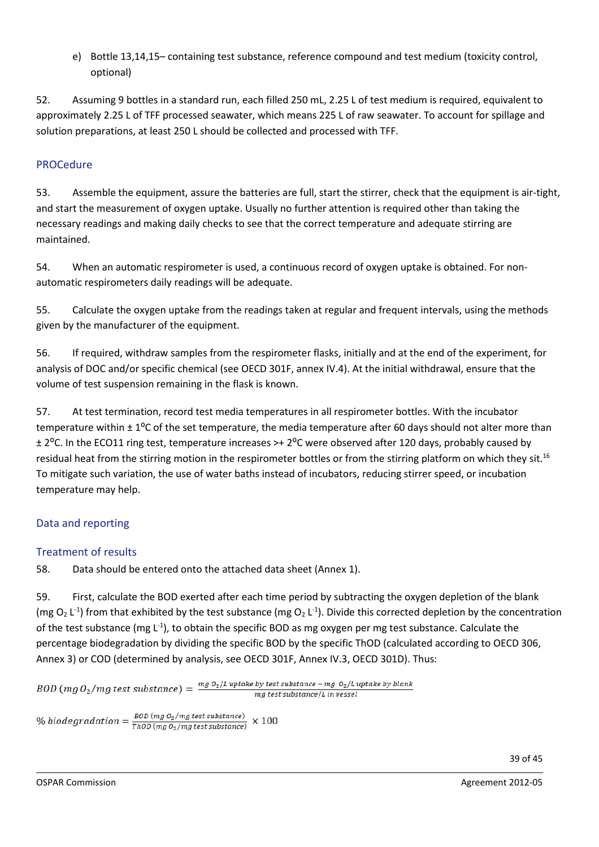e) Bottle 13,14,15– containing test substance, reference compound and test medium (toxicity control, optional)

52. Assuming 9 bottles in a standard run, each filled 250 mL, 2.25 L of test medium is required, equivalent to approximately 2.25 L of TFF processed seawater, which means 225 L of raw seawater. To account for spillage and solution preparations, at least 250 L should be collected and processed with TFF.

### PROCedure

53. Assemble the equipment, assure the batteries are full, start the stirrer, check that the equipment is air-tight, and start the measurement of oxygen uptake. Usually no further attention is required other than taking the necessary readings and making daily checks to see that the correct temperature and adequate stirring are maintained.

54. When an automatic respirometer is used, a continuous record of oxygen uptake is obtained. For nonautomatic respirometers daily readings will be adequate.

55. Calculate the oxygen uptake from the readings taken at regular and frequent intervals, using the methods given by the manufacturer of the equipment.

56. If required, withdraw samples from the respirometer flasks, initially and at the end of the experiment, for analysis of DOC and/or specific chemical (see OECD 301F, annex IV.4). At the initial withdrawal, ensure that the volume of test suspension remaining in the flask is known.

57. At test termination, record test media temperatures in all respirometer bottles. With the incubator temperature within  $\pm 1^{\circ}$ C of the set temperature, the media temperature after 60 days should not alter more than ± 2⁰C. In the ECO11 ring test, temperature increases >+ 2⁰C were observed after 120 days, probably caused by residual heat from the stirring motion in the respirometer bottles or from the stirring platform on which they sit.<sup>16</sup> To mitigate such variation, the use of water baths instead of incubators, reducing stirrer speed, or incubation temperature may help.

# Data and reporting

# Treatment of results

58. Data should be entered onto the attached data sheet (Annex 1).

59. First, calculate the BOD exerted after each time period by subtracting the oxygen depletion of the blank (mg O<sub>2</sub> L<sup>-1</sup>) from that exhibited by the test substance (mg O<sub>2</sub> L<sup>-1</sup>). Divide this corrected depletion by the concentration of the test substance (mg L<sup>-1</sup>), to obtain the specific BOD as mg oxygen per mg test substance. Calculate the percentage biodegradation by dividing the specific BOD by the specific ThOD (calculated according to OECD 306, Annex 3) or COD (determined by analysis, see OECD 301F, Annex IV.3, OECD 301D). Thus:

BOD (mg O<sub>2</sub>/mg test substance) =  $\frac{mg o_{2}/L}{L}$  uptake by test substance – mg O<sub>2</sub>/L uptake by blank mg test substance/L in vessel

% biodegradation =  $\frac{BOD \ (mg \ O_2/mg \ test \ substance)}{TnOD \ (mg \ O_2/mg \ test \ substance)}$  $\times 100$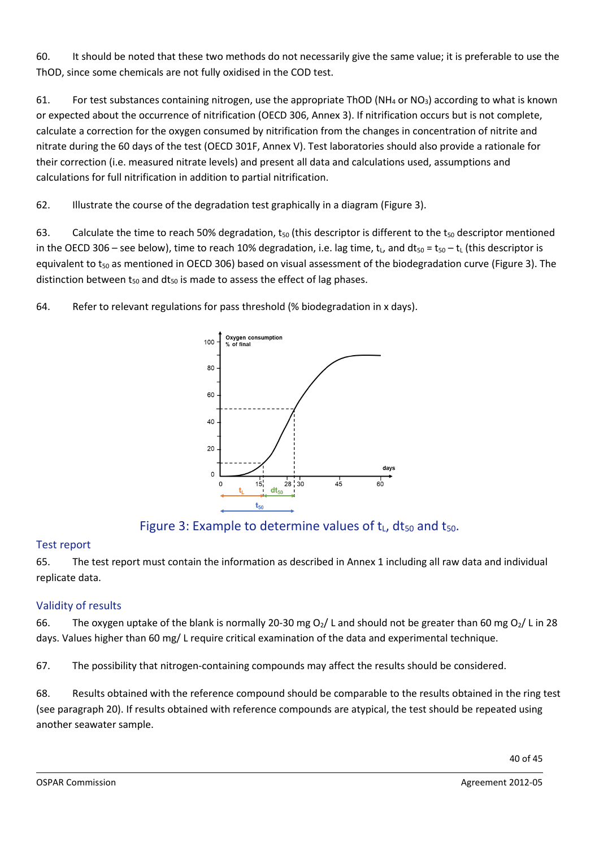60. It should be noted that these two methods do not necessarily give the same value; it is preferable to use the ThOD, since some chemicals are not fully oxidised in the COD test.

61. For test substances containing nitrogen, use the appropriate ThOD (NH<sub>4</sub> or NO<sub>3</sub>) according to what is known or expected about the occurrence of nitrification (OECD 306, Annex 3). If nitrification occurs but is not complete, calculate a correction for the oxygen consumed by nitrification from the changes in concentration of nitrite and nitrate during the 60 days of the test (OECD 301F, Annex V). Test laboratories should also provide a rationale for their correction (i.e. measured nitrate levels) and present all data and calculations used, assumptions and calculations for full nitrification in addition to partial nitrification.

62. Illustrate the course of the degradation test graphically in a diagram (Figure 3).

63. Calculate the time to reach 50% degradation,  $t_{50}$  (this descriptor is different to the  $t_{50}$  descriptor mentioned in the OECD 306 – see below), time to reach 10% degradation, i.e. lag time,  $t<sub>L</sub>$ , and dt<sub>50</sub> = t<sub>50</sub> – t<sub>L</sub> (this descriptor is equivalent to  $t_{50}$  as mentioned in OECD 306) based on visual assessment of the biodegradation curve (Figure 3). The distinction between  $t_{50}$  and  $dt_{50}$  is made to assess the effect of lag phases.

64. Refer to relevant regulations for pass threshold (% biodegradation in x days).



Figure 3: Example to determine values of  $t_L$ , d $t_{50}$  and  $t_{50}$ .

### Test report

65. The test report must contain the information as described in Annex 1 including all raw data and individual replicate data.

# Validity of results

66. The oxygen uptake of the blank is normally 20-30 mg O<sub>2</sub>/ L and should not be greater than 60 mg O<sub>2</sub>/ L in 28 days. Values higher than 60 mg/ L require critical examination of the data and experimental technique.

67. The possibility that nitrogen-containing compounds may affect the results should be considered.

68. Results obtained with the reference compound should be comparable to the results obtained in the ring test (see paragraph 20). If results obtained with reference compounds are atypical, the test should be repeated using another seawater sample.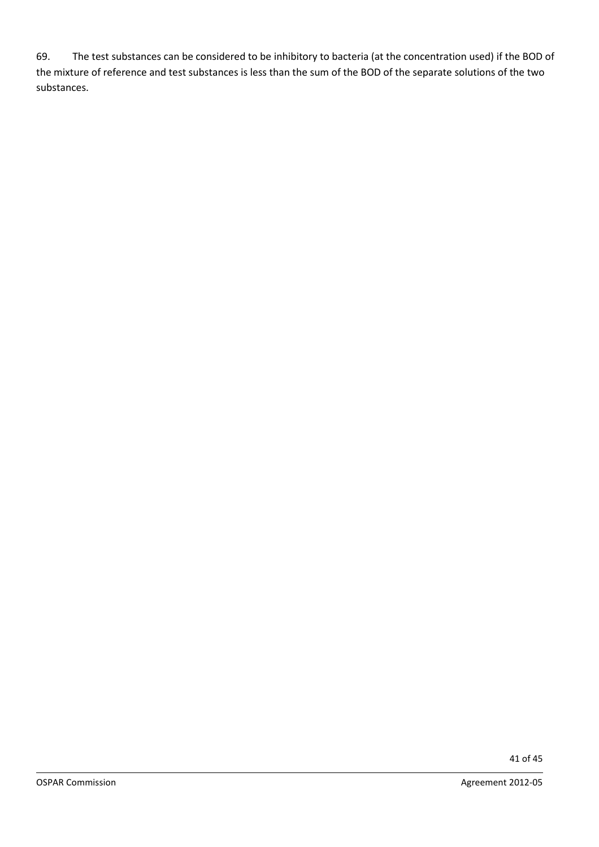69. The test substances can be considered to be inhibitory to bacteria (at the concentration used) if the BOD of the mixture of reference and test substances is less than the sum of the BOD of the separate solutions of the two substances.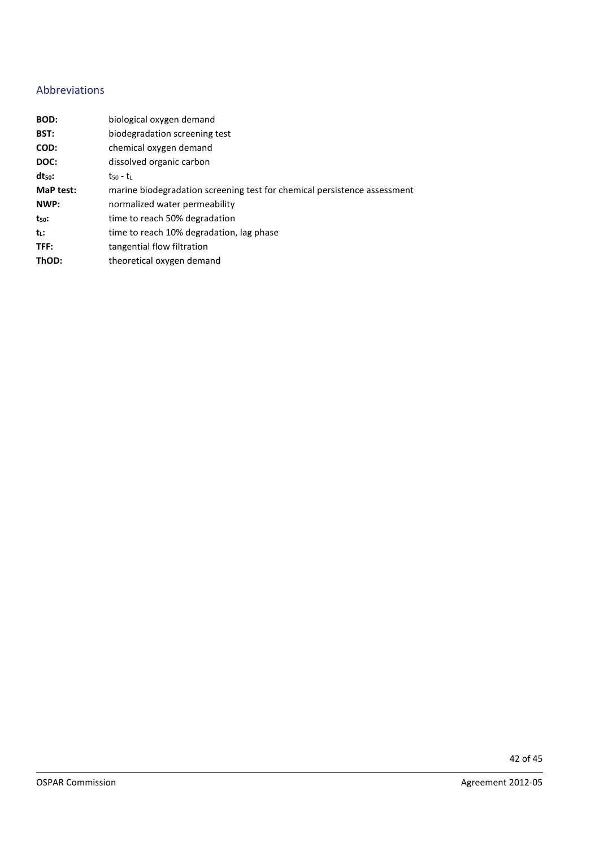#### Abbreviations

| BOD:        | biological oxygen demand                                                 |
|-------------|--------------------------------------------------------------------------|
| BST:        | biodegradation screening test                                            |
| COD:        | chemical oxygen demand                                                   |
| DOC:        | dissolved organic carbon                                                 |
| $dt_{50}$ : | $t_{50}$ - $t_{L}$                                                       |
| MaP test:   | marine biodegradation screening test for chemical persistence assessment |
| NWP:        | normalized water permeability                                            |
| $t_{50}$ :  | time to reach 50% degradation                                            |
| tı:         | time to reach 10% degradation, lag phase                                 |
| TFF:        | tangential flow filtration                                               |
| ThOD:       | theoretical oxygen demand                                                |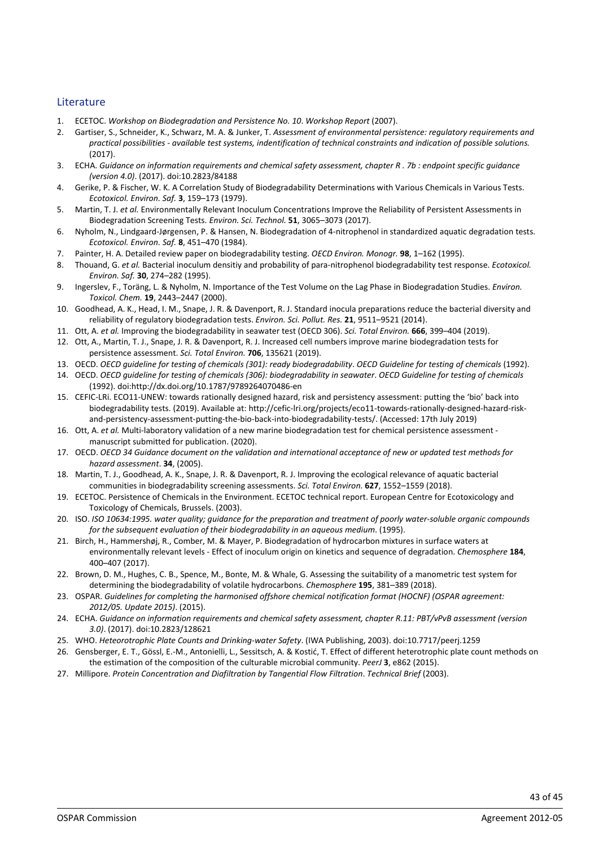#### Literature

- 1. ECETOC. *Workshop on Biodegradation and Persistence No. 10*. *Workshop Report* (2007).
- 2. Gartiser, S., Schneider, K., Schwarz, M. A. & Junker, T. *Assessment of environmental persistence: regulatory requirements and practical possibilities - available test systems, indentification of technical constraints and indication of possible solutions.* (2017).
- 3. ECHA. *Guidance on information requirements and chemical safety assessment, chapter R . 7b : endpoint specific guidance (version 4.0)*. (2017). doi:10.2823/84188
- 4. Gerike, P. & Fischer, W. K. A Correlation Study of Biodegradability Determinations with Various Chemicals in Various Tests. *Ecotoxicol. Environ. Saf.* **3**, 159–173 (1979).
- 5. Martin, T. J. *et al.* Environmentally Relevant Inoculum Concentrations Improve the Reliability of Persistent Assessments in Biodegradation Screening Tests. *Environ. Sci. Technol.* **51**, 3065–3073 (2017).
- 6. Nyholm, N., Lindgaard-Jørgensen, P. & Hansen, N. Biodegradation of 4-nitrophenol in standardized aquatic degradation tests. *Ecotoxicol. Environ. Saf.* **8**, 451–470 (1984).
- 7. Painter, H. A. Detailed review paper on biodegradability testing. *OECD Environ. Monogr.* **98**, 1–162 (1995).
- 8. Thouand, G. *et al.* Bacterial inoculum densitiy and probability of para-nitrophenol biodegradability test response. *Ecotoxicol. Environ. Saf.* **30**, 274–282 (1995).
- 9. Ingerslev, F., Toräng, L. & Nyholm, N. Importance of the Test Volume on the Lag Phase in Biodegradation Studies. *Environ. Toxicol. Chem.* **19**, 2443–2447 (2000).
- 10. Goodhead, A. K., Head, I. M., Snape, J. R. & Davenport, R. J. Standard inocula preparations reduce the bacterial diversity and reliability of regulatory biodegradation tests. *Environ. Sci. Pollut. Res.* **21**, 9511–9521 (2014).
- 11. Ott, A. *et al.* Improving the biodegradability in seawater test (OECD 306). *Sci. Total Environ.* **666**, 399–404 (2019).
- 12. Ott, A., Martin, T. J., Snape, J. R. & Davenport, R. J. Increased cell numbers improve marine biodegradation tests for persistence assessment. *Sci. Total Environ.* **706**, 135621 (2019).
- 13. OECD. *OECD guideline for testing of chemicals (301): ready biodegradability*. *OECD Guideline for testing of chemicals* (1992).
- 14. OECD. *OECD guideline for testing of chemicals (306): biodegradability in seawater*. *OECD Guideline for testing of chemicals* (1992). doi:http://dx.doi.org/10.1787/9789264070486-en
- 15. CEFIC-LRi. ECO11-UNEW: towards rationally designed hazard, risk and persistency assessment: putting the 'bio' back into biodegradability tests. (2019). Available at: http://cefic-lri.org/projects/eco11-towards-rationally-designed-hazard-riskand-persistency-assessment-putting-the-bio-back-into-biodegradability-tests/. (Accessed: 17th July 2019)
- 16. Ott, A. *et al.* Multi-laboratory validation of a new marine biodegradation test for chemical persistence assessment manuscript submitted for publication. (2020).
- 17. OECD. *OECD 34 Guidance document on the validation and international acceptance of new or updated test methods for hazard assessment*. **34**, (2005).
- 18. Martin, T. J., Goodhead, A. K., Snape, J. R. & Davenport, R. J. Improving the ecological relevance of aquatic bacterial communities in biodegradability screening assessments. *Sci. Total Environ.* **627**, 1552–1559 (2018).
- 19. ECETOC. Persistence of Chemicals in the Environment. ECETOC technical report. European Centre for Ecotoxicology and Toxicology of Chemicals, Brussels. (2003).
- 20. ISO. *ISO 10634:1995. water quality; guidance for the preparation and treatment of poorly water-soluble organic compounds for the subsequent evaluation of their biodegradability in an aqueous medium*. (1995).
- 21. Birch, H., Hammershøj, R., Comber, M. & Mayer, P. Biodegradation of hydrocarbon mixtures in surface waters at environmentally relevant levels - Effect of inoculum origin on kinetics and sequence of degradation. *Chemosphere* **184**, 400–407 (2017).
- 22. Brown, D. M., Hughes, C. B., Spence, M., Bonte, M. & Whale, G. Assessing the suitability of a manometric test system for determining the biodegradability of volatile hydrocarbons. *Chemosphere* **195**, 381–389 (2018).
- 23. OSPAR. *Guidelines for completing the harmonised offshore chemical notification format (HOCNF) (OSPAR agreement: 2012/05. Update 2015)*. (2015).
- 24. ECHA. *Guidance on information requirements and chemical safety assessment, chapter R.11: PBT/vPvB assessment (version 3.0)*. (2017). doi:10.2823/128621
- 25. WHO. *Heteorotrophic Plate Counts and Drinking-water Safety*. (IWA Publishing, 2003). doi:10.7717/peerj.1259
- 26. Gensberger, E. T., Gössl, E.-M., Antonielli, L., Sessitsch, A. & Kostić, T. Effect of different heterotrophic plate count methods on the estimation of the composition of the culturable microbial community. *PeerJ* **3**, e862 (2015).
- 27. Millipore. *Protein Concentration and Diafiltration by Tangential Flow Filtration*. *Technical Brief* (2003).

43 of 45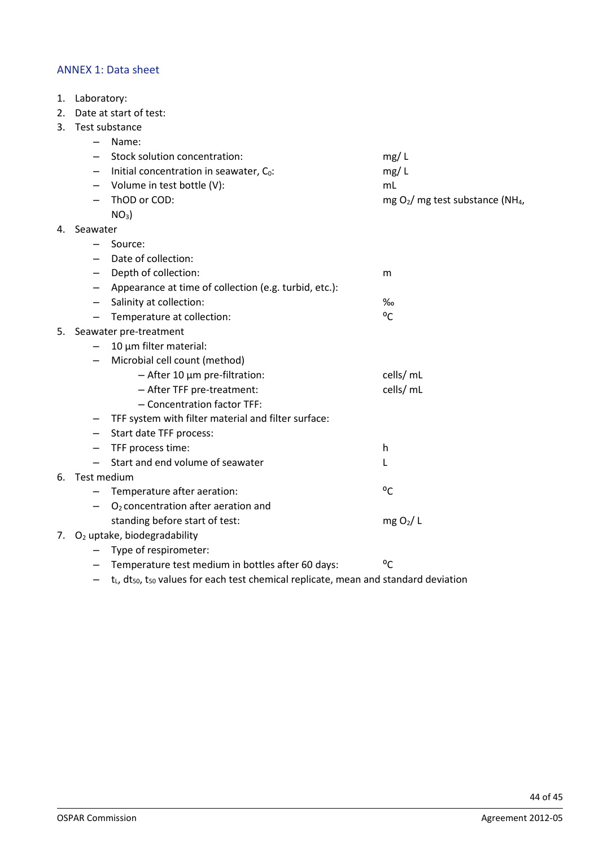#### ANNEX 1: Data sheet

- 1. Laboratory:
- 2. Date at start of test:
- 3. Test substance
	- Name:

|    |                          | Stock solution concentration:                                                                                   | mg/L                                          |
|----|--------------------------|-----------------------------------------------------------------------------------------------------------------|-----------------------------------------------|
|    |                          | Initial concentration in seawater, $C_0$ :                                                                      | mg/L                                          |
|    | $\qquad \qquad -$        | Volume in test bottle (V):                                                                                      | mL                                            |
|    | —                        | ThOD or COD:                                                                                                    | mg $O_2/mg$ test substance (NH <sub>4</sub> , |
|    |                          | $NO3$ )                                                                                                         |                                               |
| 4. | Seawater                 |                                                                                                                 |                                               |
|    |                          | Source:                                                                                                         |                                               |
|    |                          | Date of collection:                                                                                             |                                               |
|    | $\overline{\phantom{0}}$ | Depth of collection:                                                                                            | m                                             |
|    | —                        | Appearance at time of collection (e.g. turbid, etc.):                                                           |                                               |
|    | $-$                      | Salinity at collection:                                                                                         | %                                             |
|    | $\qquad \qquad -$        | Temperature at collection:                                                                                      | $^{\circ}$ C                                  |
| 5. |                          | Seawater pre-treatment                                                                                          |                                               |
|    |                          | 10 µm filter material:                                                                                          |                                               |
|    |                          | Microbial cell count (method)                                                                                   |                                               |
|    |                          | $-$ After 10 $\mu$ m pre-filtration:                                                                            | cells/ mL                                     |
|    |                          | - After TFF pre-treatment:                                                                                      | cells/ mL                                     |
|    |                          | - Concentration factor TFF:                                                                                     |                                               |
|    | $\qquad \qquad -$        | TFF system with filter material and filter surface:                                                             |                                               |
|    | —                        | Start date TFF process:                                                                                         |                                               |
|    |                          | TFF process time:                                                                                               | h                                             |
|    |                          | Start and end volume of seawater                                                                                | L                                             |
|    | 6. Test medium           |                                                                                                                 |                                               |
|    |                          | Temperature after aeration:                                                                                     | °C                                            |
|    |                          | O <sub>2</sub> concentration after aeration and                                                                 |                                               |
|    |                          | standing before start of test:                                                                                  | mg O <sub>2</sub> /L                          |
|    |                          | 7. O <sub>2</sub> uptake, biodegradability                                                                      |                                               |
|    |                          | Type of respirometer:                                                                                           |                                               |
|    |                          | Temperature test medium in bottles after 60 days:                                                               | °C                                            |
|    |                          | $t_L$ , dt <sub>50</sub> , t <sub>50</sub> values for each test chemical replicate, mean and standard deviation |                                               |
|    |                          |                                                                                                                 |                                               |